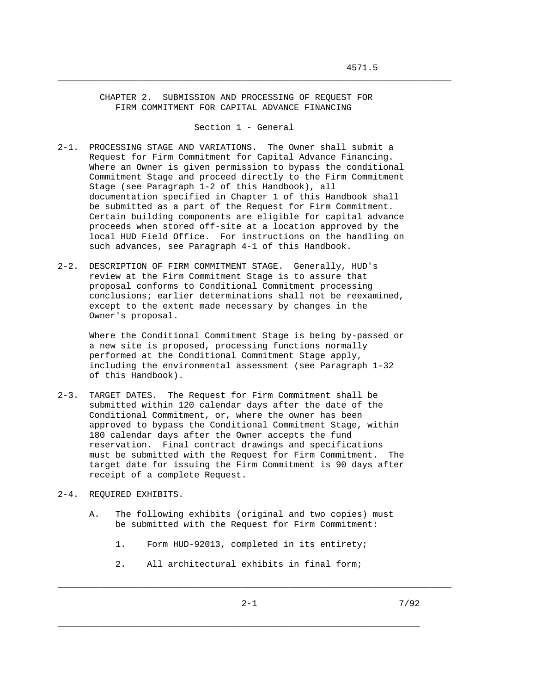CHAPTER 2. SUBMISSION AND PROCESSING OF REQUEST FOR FIRM COMMITMENT FOR CAPITAL ADVANCE FINANCING

Section 1 - General

\_\_\_\_\_\_\_\_\_\_\_\_\_\_\_\_\_\_\_\_\_\_\_\_\_\_\_\_\_\_\_\_\_\_\_\_\_\_\_\_\_\_\_\_\_\_\_\_\_\_\_\_\_\_\_\_\_\_\_\_\_\_\_\_\_\_\_\_\_\_\_\_\_\_\_

- 2-1. PROCESSING STAGE AND VARIATIONS. The Owner shall submit a Request for Firm Commitment for Capital Advance Financing. Where an Owner is given permission to bypass the conditional Commitment Stage and proceed directly to the Firm Commitment Stage (see Paragraph 1-2 of this Handbook), all documentation specified in Chapter 1 of this Handbook shall be submitted as a part of the Request for Firm Commitment. Certain building components are eligible for capital advance proceeds when stored off-site at a location approved by the local HUD Field Office. For instructions on the handling on such advances, see Paragraph 4-1 of this Handbook.
- 2-2. DESCRIPTION OF FIRM COMMITMENT STAGE. Generally, HUD's review at the Firm Commitment Stage is to assure that proposal conforms to Conditional Commitment processing conclusions; earlier determinations shall not be reexamined, except to the extent made necessary by changes in the Owner's proposal.

 Where the Conditional Commitment Stage is being by-passed or a new site is proposed, processing functions normally performed at the Conditional Commitment Stage apply, including the environmental assessment (see Paragraph 1-32 of this Handbook).

- 2-3. TARGET DATES. The Request for Firm Commitment shall be submitted within 120 calendar days after the date of the Conditional Commitment, or, where the owner has been approved to bypass the Conditional Commitment Stage, within 180 calendar days after the Owner accepts the fund reservation. Final contract drawings and specifications must be submitted with the Request for Firm Commitment. The target date for issuing the Firm Commitment is 90 days after receipt of a complete Request.
- 2-4. REQUIRED EXHIBITS.
	- A. The following exhibits (original and two copies) must be submitted with the Request for Firm Commitment:
		- 1. Form HUD-92013, completed in its entirety;
		- 2. All architectural exhibits in final form;

\_\_\_\_\_\_\_\_\_\_\_\_\_\_\_\_\_\_\_\_\_\_\_\_\_\_\_\_\_\_\_\_\_\_\_\_\_\_\_\_\_\_\_\_\_\_\_\_\_\_\_\_\_\_\_\_\_\_\_\_\_\_\_\_\_\_\_\_\_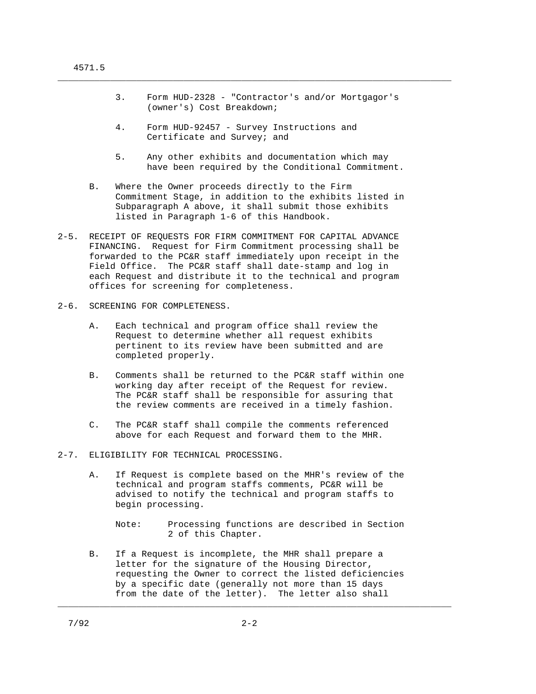3. Form HUD-2328 - "Contractor's and/or Mortgagor's (owner's) Cost Breakdown;

\_\_\_\_\_\_\_\_\_\_\_\_\_\_\_\_\_\_\_\_\_\_\_\_\_\_\_\_\_\_\_\_\_\_\_\_\_\_\_\_\_\_\_\_\_\_\_\_\_\_\_\_\_\_\_\_\_\_\_\_\_\_\_\_\_\_\_\_\_\_\_\_\_\_\_

- 4. Form HUD-92457 Survey Instructions and Certificate and Survey; and
- 5. Any other exhibits and documentation which may have been required by the Conditional Commitment.
- B. Where the Owner proceeds directly to the Firm Commitment Stage, in addition to the exhibits listed in Subparagraph A above, it shall submit those exhibits listed in Paragraph 1-6 of this Handbook.
- 2-5. RECEIPT OF REQUESTS FOR FIRM COMMITMENT FOR CAPITAL ADVANCE FINANCING. Request for Firm Commitment processing shall be forwarded to the PC&R staff immediately upon receipt in the Field Office. The PC&R staff shall date-stamp and log in each Request and distribute it to the technical and program offices for screening for completeness.
- 2-6. SCREENING FOR COMPLETENESS.
	- A. Each technical and program office shall review the Request to determine whether all request exhibits pertinent to its review have been submitted and are completed properly.
	- B. Comments shall be returned to the PC&R staff within one working day after receipt of the Request for review. The PC&R staff shall be responsible for assuring that the review comments are received in a timely fashion.
	- C. The PC&R staff shall compile the comments referenced above for each Request and forward them to the MHR.
- 2-7. ELIGIBILITY FOR TECHNICAL PROCESSING.
	- A. If Request is complete based on the MHR's review of the technical and program staffs comments, PC&R will be advised to notify the technical and program staffs to begin processing.
		- Note: Processing functions are described in Section 2 of this Chapter.
	- B. If a Request is incomplete, the MHR shall prepare a letter for the signature of the Housing Director, requesting the Owner to correct the listed deficiencies by a specific date (generally not more than 15 days from the date of the letter). The letter also shall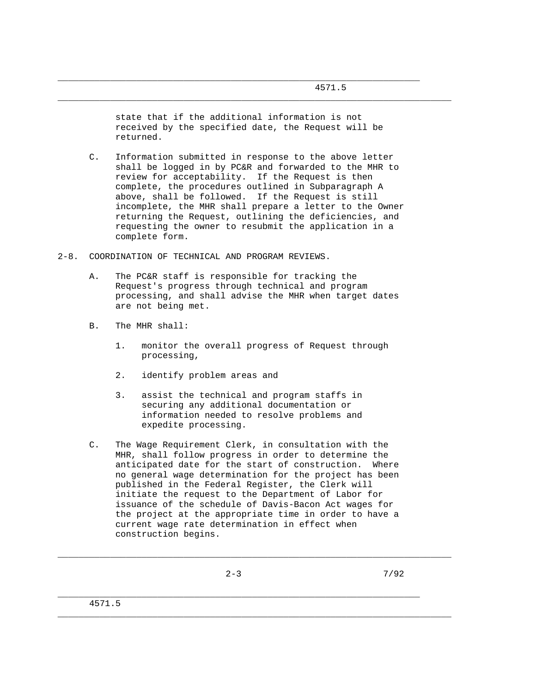state that if the additional information is not received by the specified date, the Request will be returned.

\_\_\_\_\_\_\_\_\_\_\_\_\_\_\_\_\_\_\_\_\_\_\_\_\_\_\_\_\_\_\_\_\_\_\_\_\_\_\_\_\_\_\_\_\_\_\_\_\_\_\_\_\_\_\_\_\_\_\_\_\_\_\_\_\_\_\_\_\_\_\_\_\_\_\_

\_\_\_\_\_\_\_\_\_\_\_\_\_\_\_\_\_\_\_\_\_\_\_\_\_\_\_\_\_\_\_\_\_\_\_\_\_\_\_\_\_\_\_\_\_\_\_\_\_\_\_\_\_\_\_\_\_\_\_\_\_\_\_\_\_\_\_\_\_

- C. Information submitted in response to the above letter shall be logged in by PC&R and forwarded to the MHR to review for acceptability. If the Request is then complete, the procedures outlined in Subparagraph A above, shall be followed. If the Request is still incomplete, the MHR shall prepare a letter to the Owner returning the Request, outlining the deficiencies, and requesting the owner to resubmit the application in a complete form.
- 2-8. COORDINATION OF TECHNICAL AND PROGRAM REVIEWS.
	- A. The PC&R staff is responsible for tracking the Request's progress through technical and program processing, and shall advise the MHR when target dates are not being met.
	- B. The MHR shall:
		- 1. monitor the overall progress of Request through processing,
		- 2. identify problem areas and
		- 3. assist the technical and program staffs in securing any additional documentation or information needed to resolve problems and expedite processing.
	- C. The Wage Requirement Clerk, in consultation with the MHR, shall follow progress in order to determine the anticipated date for the start of construction. Where no general wage determination for the project has been published in the Federal Register, the Clerk will initiate the request to the Department of Labor for issuance of the schedule of Davis-Bacon Act wages for the project at the appropriate time in order to have a current wage rate determination in effect when construction begins.

\_\_\_\_\_\_\_\_\_\_\_\_\_\_\_\_\_\_\_\_\_\_\_\_\_\_\_\_\_\_\_\_\_\_\_\_\_\_\_\_\_\_\_\_\_\_\_\_\_\_\_\_\_\_\_\_\_\_\_\_\_\_\_\_\_\_\_\_\_\_\_\_\_\_\_

\_\_\_\_\_\_\_\_\_\_\_\_\_\_\_\_\_\_\_\_\_\_\_\_\_\_\_\_\_\_\_\_\_\_\_\_\_\_\_\_\_\_\_\_\_\_\_\_\_\_\_\_\_\_\_\_\_\_\_\_\_\_\_\_\_\_\_\_\_\_\_\_\_\_\_

\_\_\_\_\_\_\_\_\_\_\_\_\_\_\_\_\_\_\_\_\_\_\_\_\_\_\_\_\_\_\_\_\_\_\_\_\_\_\_\_\_\_\_\_\_\_\_\_\_\_\_\_\_\_\_\_\_\_\_\_\_\_\_\_\_\_\_\_\_

4571.5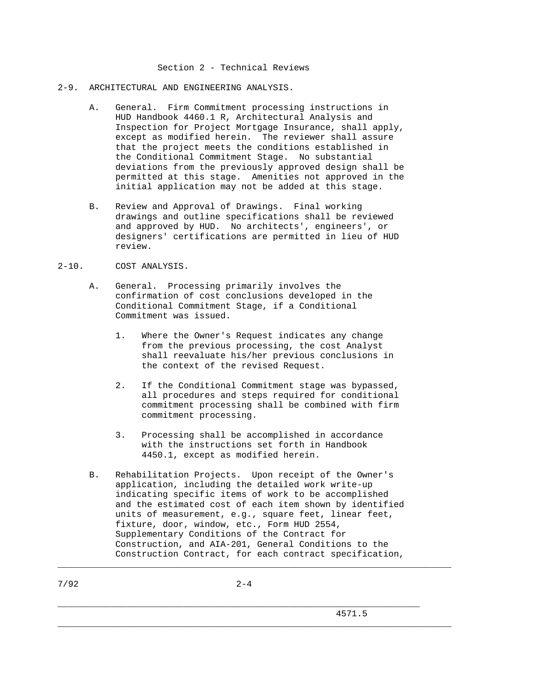# Section 2 - Technical Reviews

### 2-9. ARCHITECTURAL AND ENGINEERING ANALYSIS.

- A. General. Firm Commitment processing instructions in HUD Handbook 4460.1 R, Architectural Analysis and Inspection for Project Mortgage Insurance, shall apply, except as modified herein. The reviewer shall assure that the project meets the conditions established in the Conditional Commitment Stage. No substantial deviations from the previously approved design shall be permitted at this stage. Amenities not approved in the initial application may not be added at this stage.
- B. Review and Approval of Drawings. Final working drawings and outline specifications shall be reviewed and approved by HUD. No architects', engineers', or designers' certifications are permitted in lieu of HUD review.

### 2-10. COST ANALYSIS.

- A. General. Processing primarily involves the confirmation of cost conclusions developed in the Conditional Commitment Stage, if a Conditional Commitment was issued.
	- 1. Where the Owner's Request indicates any change from the previous processing, the cost Analyst shall reevaluate his/her previous conclusions in the context of the revised Request.
	- 2. If the Conditional Commitment stage was bypassed, all procedures and steps required for conditional commitment processing shall be combined with firm commitment processing.
	- 3. Processing shall be accomplished in accordance with the instructions set forth in Handbook 4450.1, except as modified herein.
- B. Rehabilitation Projects. Upon receipt of the Owner's application, including the detailed work write-up indicating specific items of work to be accomplished and the estimated cost of each item shown by identified units of measurement, e.g., square feet, linear feet, fixture, door, window, etc., Form HUD 2554, Supplementary Conditions of the Contract for Construction, and AIA-201, General Conditions to the Construction Contract, for each contract specification,

 $7/92$  2-4

\_\_\_\_\_\_\_\_\_\_\_\_\_\_\_\_\_\_\_\_\_\_\_\_\_\_\_\_\_\_\_\_\_\_\_\_\_\_\_\_\_\_\_\_\_\_\_\_\_\_\_\_\_\_\_\_\_\_\_\_\_\_\_\_\_\_\_\_\_

\_\_\_\_\_\_\_\_\_\_\_\_\_\_\_\_\_\_\_\_\_\_\_\_\_\_\_\_\_\_\_\_\_\_\_\_\_\_\_\_\_\_\_\_\_\_\_\_\_\_\_\_\_\_\_\_\_\_\_\_\_\_\_\_\_\_\_\_\_\_\_\_\_\_\_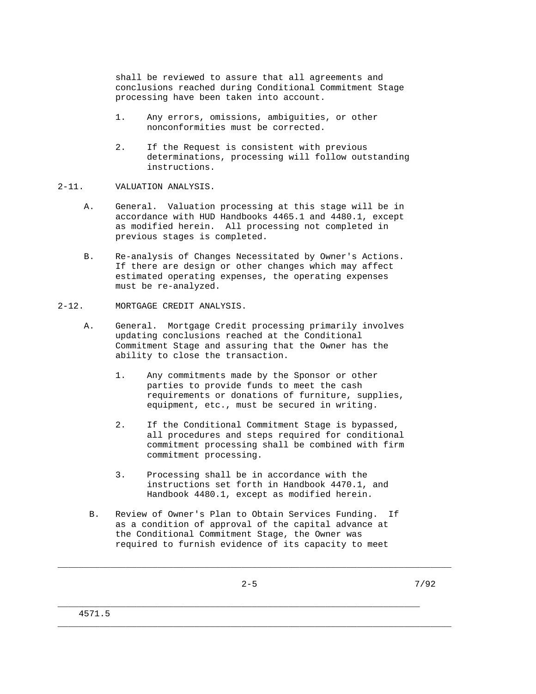shall be reviewed to assure that all agreements and conclusions reached during Conditional Commitment Stage processing have been taken into account.

- 1. Any errors, omissions, ambiguities, or other nonconformities must be corrected.
- 2. If the Request is consistent with previous determinations, processing will follow outstanding instructions.

#### 2-11. VALUATION ANALYSIS.

- A. General. Valuation processing at this stage will be in accordance with HUD Handbooks 4465.1 and 4480.1, except as modified herein. All processing not completed in previous stages is completed.
- B. Re-analysis of Changes Necessitated by Owner's Actions. If there are design or other changes which may affect estimated operating expenses, the operating expenses must be re-analyzed.
- 2-12. MORTGAGE CREDIT ANALYSIS.
	- A. General. Mortgage Credit processing primarily involves updating conclusions reached at the Conditional Commitment Stage and assuring that the Owner has the ability to close the transaction.
		- 1. Any commitments made by the Sponsor or other parties to provide funds to meet the cash requirements or donations of furniture, supplies, equipment, etc., must be secured in writing.
		- 2. If the Conditional Commitment Stage is bypassed, all procedures and steps required for conditional commitment processing shall be combined with firm commitment processing.
		- 3. Processing shall be in accordance with the instructions set forth in Handbook 4470.1, and Handbook 4480.1, except as modified herein.
	- B. Review of Owner's Plan to Obtain Services Funding. If as a condition of approval of the capital advance at the Conditional Commitment Stage, the Owner was required to furnish evidence of its capacity to meet

\_\_\_\_\_\_\_\_\_\_\_\_\_\_\_\_\_\_\_\_\_\_\_\_\_\_\_\_\_\_\_\_\_\_\_\_\_\_\_\_\_\_\_\_\_\_\_\_\_\_\_\_\_\_\_\_\_\_\_\_\_\_\_\_\_\_\_\_\_\_\_\_\_\_\_

\_\_\_\_\_\_\_\_\_\_\_\_\_\_\_\_\_\_\_\_\_\_\_\_\_\_\_\_\_\_\_\_\_\_\_\_\_\_\_\_\_\_\_\_\_\_\_\_\_\_\_\_\_\_\_\_\_\_\_\_\_\_\_\_\_\_\_\_\_\_\_\_\_\_\_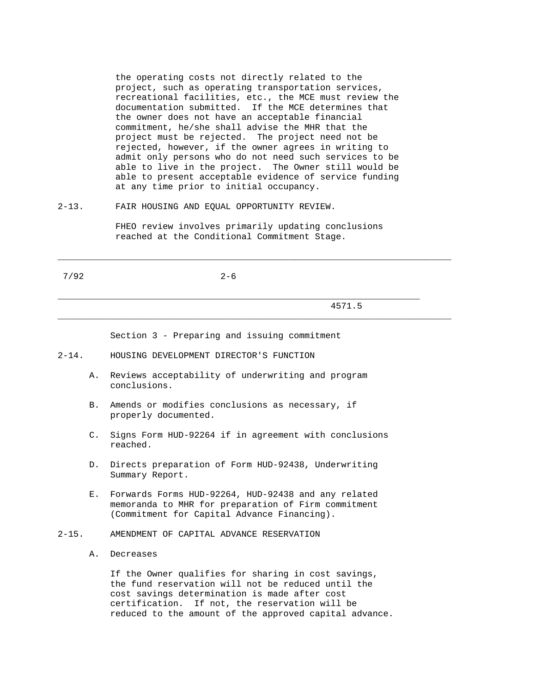the operating costs not directly related to the project, such as operating transportation services, recreational facilities, etc., the MCE must review the documentation submitted. If the MCE determines that the owner does not have an acceptable financial commitment, he/she shall advise the MHR that the project must be rejected. The project need not be rejected, however, if the owner agrees in writing to admit only persons who do not need such services to be able to live in the project. The Owner still would be able to present acceptable evidence of service funding at any time prior to initial occupancy.

2-13. FAIR HOUSING AND EQUAL OPPORTUNITY REVIEW.

 FHEO review involves primarily updating conclusions reached at the Conditional Commitment Stage.

\_\_\_\_\_\_\_\_\_\_\_\_\_\_\_\_\_\_\_\_\_\_\_\_\_\_\_\_\_\_\_\_\_\_\_\_\_\_\_\_\_\_\_\_\_\_\_\_\_\_\_\_\_\_\_\_\_\_\_\_\_\_\_\_\_\_\_\_\_\_\_\_\_\_\_

\_\_\_\_\_\_\_\_\_\_\_\_\_\_\_\_\_\_\_\_\_\_\_\_\_\_\_\_\_\_\_\_\_\_\_\_\_\_\_\_\_\_\_\_\_\_\_\_\_\_\_\_\_\_\_\_\_\_\_\_\_\_\_\_\_\_\_\_\_\_\_\_\_\_\_

 $7/92$  2-6

\_\_\_\_\_\_\_\_\_\_\_\_\_\_\_\_\_\_\_\_\_\_\_\_\_\_\_\_\_\_\_\_\_\_\_\_\_\_\_\_\_\_\_\_\_\_\_\_\_\_\_\_\_\_\_\_\_\_\_\_\_\_\_\_\_\_\_\_\_

4571.5

Section 3 - Preparing and issuing commitment

2-14. HOUSING DEVELOPMENT DIRECTOR'S FUNCTION

- A. Reviews acceptability of underwriting and program conclusions.
- B. Amends or modifies conclusions as necessary, if properly documented.
- C. Signs Form HUD-92264 if in agreement with conclusions reached.
- D. Directs preparation of Form HUD-92438, Underwriting Summary Report.
- E. Forwards Forms HUD-92264, HUD-92438 and any related memoranda to MHR for preparation of Firm commitment (Commitment for Capital Advance Financing).
- 2-15. AMENDMENT OF CAPITAL ADVANCE RESERVATION
	- A. Decreases

 If the Owner qualifies for sharing in cost savings, the fund reservation will not be reduced until the cost savings determination is made after cost certification. If not, the reservation will be reduced to the amount of the approved capital advance.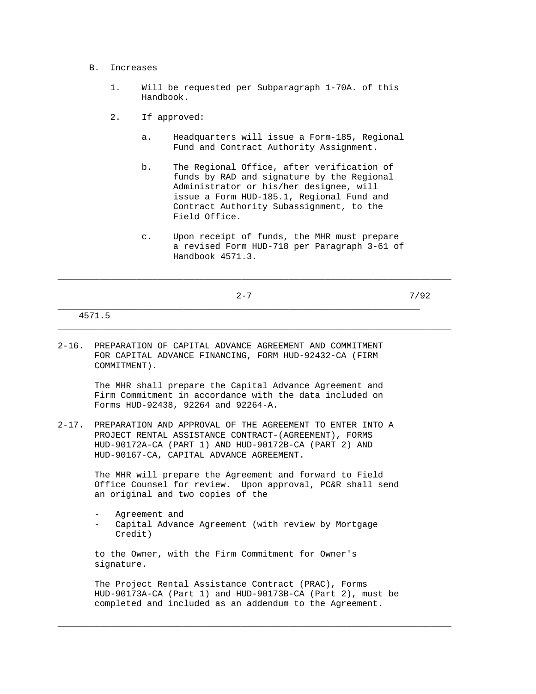#### B. Increases

- 1. Will be requested per Subparagraph 1-70A. of this Handbook.
- 2. If approved:
	- a. Headquarters will issue a Form-185, Regional Fund and Contract Authority Assignment.
	- b. The Regional Office, after verification of funds by RAD and signature by the Regional Administrator or his/her designee, will issue a Form HUD-185.1, Regional Fund and Contract Authority Subassignment, to the Field Office.
	- c. Upon receipt of funds, the MHR must prepare a revised Form HUD-718 per Paragraph 3-61 of Handbook 4571.3.

\_\_\_\_\_\_\_\_\_\_\_\_\_\_\_\_\_\_\_\_\_\_\_\_\_\_\_\_\_\_\_\_\_\_\_\_\_\_\_\_\_\_\_\_\_\_\_\_\_\_\_\_\_\_\_\_\_\_\_\_\_\_\_\_\_\_\_\_\_\_\_\_\_\_\_

|  |                                                               | $2 - 7$ |  | 7/92 |  |
|--|---------------------------------------------------------------|---------|--|------|--|
|  | 4571.5                                                        |         |  |      |  |
|  | 2-16. PREPARATION OF CAPITAL ADVANCE AGREEMENT AND COMMITMENT |         |  |      |  |

 FOR CAPITAL ADVANCE FINANCING, FORM HUD-92432-CA (FIRM COMMITMENT).

> The MHR shall prepare the Capital Advance Agreement and Firm Commitment in accordance with the data included on Forms HUD-92438, 92264 and 92264-A.

2-17. PREPARATION AND APPROVAL OF THE AGREEMENT TO ENTER INTO A PROJECT RENTAL ASSISTANCE CONTRACT-(AGREEMENT), FORMS HUD-90172A-CA (PART 1) AND HUD-90172B-CA (PART 2) AND HUD-90167-CA, CAPITAL ADVANCE AGREEMENT.

> The MHR will prepare the Agreement and forward to Field Office Counsel for review. Upon approval, PC&R shall send an original and two copies of the

Agreement and Capital Advance Agreement (with review by Mortgage Credit)

 to the Owner, with the Firm Commitment for Owner's signature.

 The Project Rental Assistance Contract (PRAC), Forms HUD-90173A-CA (Part 1) and HUD-90173B-CA (Part 2), must be completed and included as an addendum to the Agreement.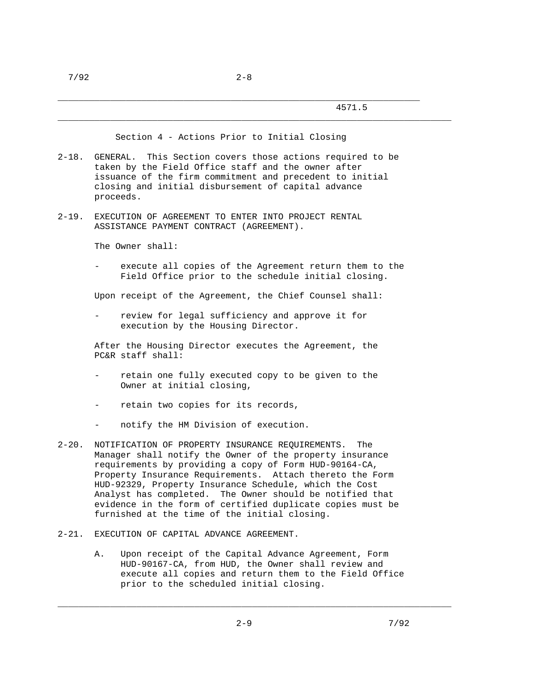\_\_\_\_\_\_\_\_\_\_\_\_\_\_\_\_\_\_\_\_\_\_\_\_\_\_\_\_\_\_\_\_\_\_\_\_\_\_\_\_\_\_\_\_\_\_\_\_\_\_\_\_\_\_\_\_\_\_\_\_\_\_\_\_\_\_\_\_\_\_\_\_\_\_\_

Section 4 - Actions Prior to Initial Closing

- 2-18. GENERAL. This Section covers those actions required to be taken by the Field Office staff and the owner after issuance of the firm commitment and precedent to initial closing and initial disbursement of capital advance proceeds.
- 2-19. EXECUTION OF AGREEMENT TO ENTER INTO PROJECT RENTAL ASSISTANCE PAYMENT CONTRACT (AGREEMENT).

The Owner shall:

execute all copies of the Agreement return them to the Field Office prior to the schedule initial closing.

Upon receipt of the Agreement, the Chief Counsel shall:

review for legal sufficiency and approve it for execution by the Housing Director.

 After the Housing Director executes the Agreement, the PC&R staff shall:

- retain one fully executed copy to be given to the Owner at initial closing,
- retain two copies for its records,
- notify the HM Division of execution.
- 2-20. NOTIFICATION OF PROPERTY INSURANCE REQUIREMENTS. The Manager shall notify the Owner of the property insurance requirements by providing a copy of Form HUD-90164-CA, Property Insurance Requirements. Attach thereto the Form HUD-92329, Property Insurance Schedule, which the Cost Analyst has completed. The Owner should be notified that evidence in the form of certified duplicate copies must be furnished at the time of the initial closing.
- 2-21. EXECUTION OF CAPITAL ADVANCE AGREEMENT.
	- A. Upon receipt of the Capital Advance Agreement, Form HUD-90167-CA, from HUD, the Owner shall review and execute all copies and return them to the Field Office prior to the scheduled initial closing.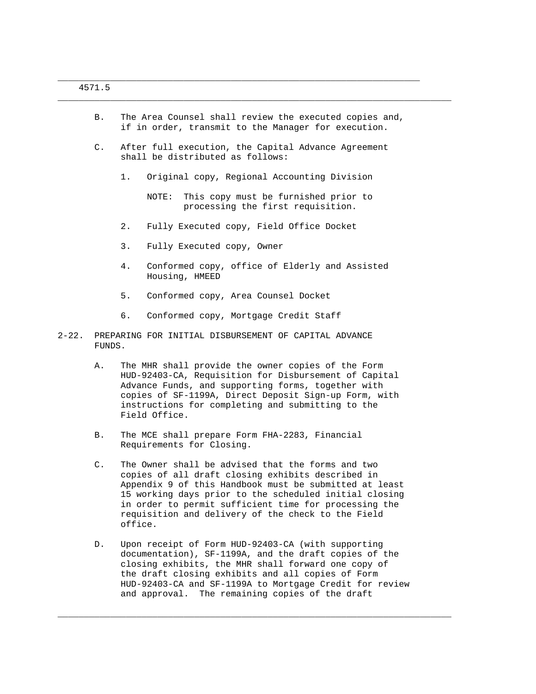B. The Area Counsel shall review the executed copies and, if in order, transmit to the Manager for execution.

\_\_\_\_\_\_\_\_\_\_\_\_\_\_\_\_\_\_\_\_\_\_\_\_\_\_\_\_\_\_\_\_\_\_\_\_\_\_\_\_\_\_\_\_\_\_\_\_\_\_\_\_\_\_\_\_\_\_\_\_\_\_\_\_\_\_\_\_\_\_\_\_\_\_\_

 C. After full execution, the Capital Advance Agreement shall be distributed as follows:

\_\_\_\_\_\_\_\_\_\_\_\_\_\_\_\_\_\_\_\_\_\_\_\_\_\_\_\_\_\_\_\_\_\_\_\_\_\_\_\_\_\_\_\_\_\_\_\_\_\_\_\_\_\_\_\_\_\_\_\_\_\_\_\_\_\_\_\_\_

- 1. Original copy, Regional Accounting Division
	- NOTE: This copy must be furnished prior to processing the first requisition.
- 2. Fully Executed copy, Field Office Docket
- 3. Fully Executed copy, Owner
- 4. Conformed copy, office of Elderly and Assisted Housing, HMEED
- 5. Conformed copy, Area Counsel Docket
- 6. Conformed copy, Mortgage Credit Staff
- 2-22. PREPARING FOR INITIAL DISBURSEMENT OF CAPITAL ADVANCE FUNDS.
	- A. The MHR shall provide the owner copies of the Form HUD-92403-CA, Requisition for Disbursement of Capital Advance Funds, and supporting forms, together with copies of SF-1199A, Direct Deposit Sign-up Form, with instructions for completing and submitting to the Field Office.
	- B. The MCE shall prepare Form FHA-2283, Financial Requirements for Closing.
	- C. The Owner shall be advised that the forms and two copies of all draft closing exhibits described in Appendix 9 of this Handbook must be submitted at least 15 working days prior to the scheduled initial closing in order to permit sufficient time for processing the requisition and delivery of the check to the Field office.
	- D. Upon receipt of Form HUD-92403-CA (with supporting documentation), SF-1199A, and the draft copies of the closing exhibits, the MHR shall forward one copy of the draft closing exhibits and all copies of Form HUD-92403-CA and SF-1199A to Mortgage Credit for review and approval. The remaining copies of the draft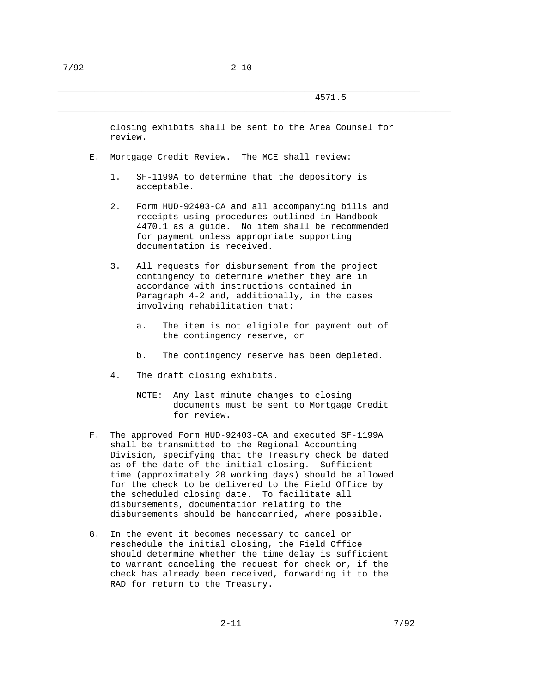closing exhibits shall be sent to the Area Counsel for review.

\_\_\_\_\_\_\_\_\_\_\_\_\_\_\_\_\_\_\_\_\_\_\_\_\_\_\_\_\_\_\_\_\_\_\_\_\_\_\_\_\_\_\_\_\_\_\_\_\_\_\_\_\_\_\_\_\_\_\_\_\_\_\_\_\_\_\_\_\_\_\_\_\_\_\_

- E. Mortgage Credit Review. The MCE shall review:
	- 1. SF-1199A to determine that the depository is acceptable.
	- 2. Form HUD-92403-CA and all accompanying bills and receipts using procedures outlined in Handbook 4470.1 as a guide. No item shall be recommended for payment unless appropriate supporting documentation is received.
	- 3. All requests for disbursement from the project contingency to determine whether they are in accordance with instructions contained in Paragraph 4-2 and, additionally, in the cases involving rehabilitation that:
		- a. The item is not eligible for payment out of the contingency reserve, or
		- b. The contingency reserve has been depleted.
	- 4. The draft closing exhibits.
		- NOTE: Any last minute changes to closing documents must be sent to Mortgage Credit for review.
- F. The approved Form HUD-92403-CA and executed SF-1199A shall be transmitted to the Regional Accounting Division, specifying that the Treasury check be dated as of the date of the initial closing. Sufficient time (approximately 20 working days) should be allowed for the check to be delivered to the Field Office by the scheduled closing date. To facilitate all disbursements, documentation relating to the disbursements should be handcarried, where possible.
- G. In the event it becomes necessary to cancel or reschedule the initial closing, the Field Office should determine whether the time delay is sufficient to warrant canceling the request for check or, if the check has already been received, forwarding it to the RAD for return to the Treasury.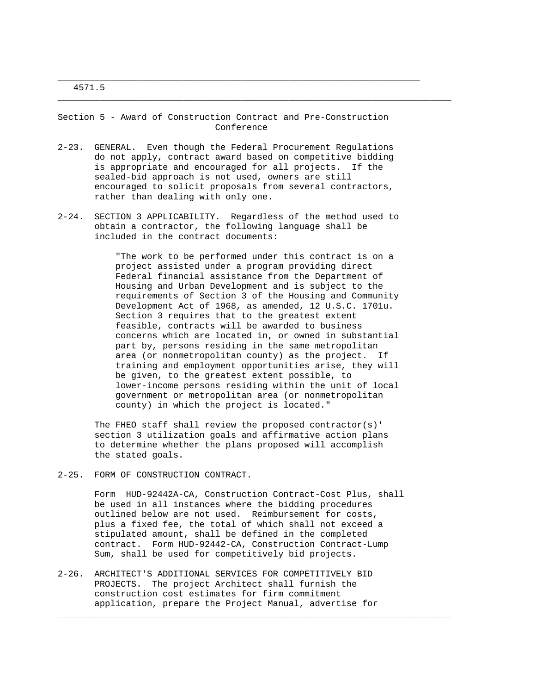Section 5 - Award of Construction Contract and Pre-Construction Conference

\_\_\_\_\_\_\_\_\_\_\_\_\_\_\_\_\_\_\_\_\_\_\_\_\_\_\_\_\_\_\_\_\_\_\_\_\_\_\_\_\_\_\_\_\_\_\_\_\_\_\_\_\_\_\_\_\_\_\_\_\_\_\_\_\_\_\_\_\_

\_\_\_\_\_\_\_\_\_\_\_\_\_\_\_\_\_\_\_\_\_\_\_\_\_\_\_\_\_\_\_\_\_\_\_\_\_\_\_\_\_\_\_\_\_\_\_\_\_\_\_\_\_\_\_\_\_\_\_\_\_\_\_\_\_\_\_\_\_\_\_\_\_\_\_

- 2-23. GENERAL. Even though the Federal Procurement Regulations do not apply, contract award based on competitive bidding is appropriate and encouraged for all projects. If the sealed-bid approach is not used, owners are still encouraged to solicit proposals from several contractors, rather than dealing with only one.
- 2-24. SECTION 3 APPLICABILITY. Regardless of the method used to obtain a contractor, the following language shall be included in the contract documents:

 "The work to be performed under this contract is on a project assisted under a program providing direct Federal financial assistance from the Department of Housing and Urban Development and is subject to the requirements of Section 3 of the Housing and Community Development Act of 1968, as amended, 12 U.S.C. 1701u. Section 3 requires that to the greatest extent feasible, contracts will be awarded to business concerns which are located in, or owned in substantial part by, persons residing in the same metropolitan area (or nonmetropolitan county) as the project. If training and employment opportunities arise, they will be given, to the greatest extent possible, to lower-income persons residing within the unit of local government or metropolitan area (or nonmetropolitan county) in which the project is located."

 The FHEO staff shall review the proposed contractor(s)' section 3 utilization goals and affirmative action plans to determine whether the plans proposed will accomplish the stated goals.

2-25. FORM OF CONSTRUCTION CONTRACT.

 Form HUD-92442A-CA, Construction Contract-Cost Plus, shall be used in all instances where the bidding procedures outlined below are not used. Reimbursement for costs, plus a fixed fee, the total of which shall not exceed a stipulated amount, shall be defined in the completed contract. Form HUD-92442-CA, Construction Contract-Lump Sum, shall be used for competitively bid projects.

\_\_\_\_\_\_\_\_\_\_\_\_\_\_\_\_\_\_\_\_\_\_\_\_\_\_\_\_\_\_\_\_\_\_\_\_\_\_\_\_\_\_\_\_\_\_\_\_\_\_\_\_\_\_\_\_\_\_\_\_\_\_\_\_\_\_\_\_\_\_\_\_\_\_\_

2-26. ARCHITECT'S ADDITIONAL SERVICES FOR COMPETITIVELY BID PROJECTS. The project Architect shall furnish the construction cost estimates for firm commitment application, prepare the Project Manual, advertise for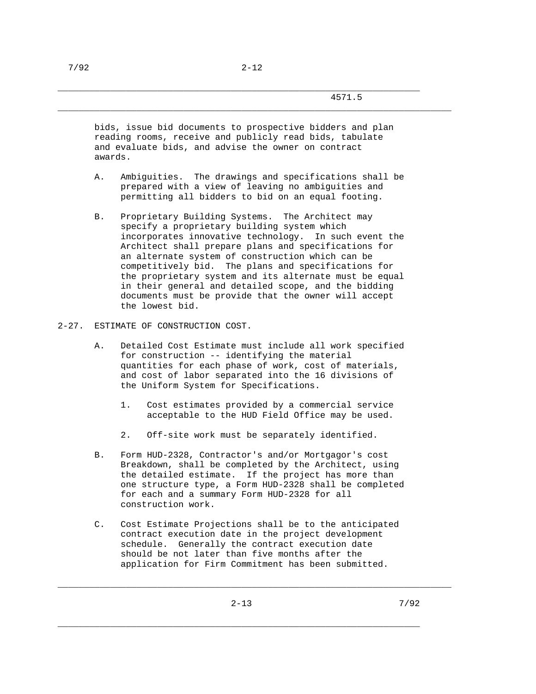\_\_\_\_\_\_\_\_\_\_\_\_\_\_\_\_\_\_\_\_\_\_\_\_\_\_\_\_\_\_\_\_\_\_\_\_\_\_\_\_\_\_\_\_\_\_\_\_\_\_\_\_\_\_\_\_\_\_\_\_\_\_\_\_\_\_\_\_\_\_\_\_\_\_\_

 bids, issue bid documents to prospective bidders and plan reading rooms, receive and publicly read bids, tabulate and evaluate bids, and advise the owner on contract awards.

- A. Ambiguities. The drawings and specifications shall be prepared with a view of leaving no ambiguities and permitting all bidders to bid on an equal footing.
- B. Proprietary Building Systems. The Architect may specify a proprietary building system which incorporates innovative technology. In such event the Architect shall prepare plans and specifications for an alternate system of construction which can be competitively bid. The plans and specifications for the proprietary system and its alternate must be equal in their general and detailed scope, and the bidding documents must be provide that the owner will accept the lowest bid.
- 2-27. ESTIMATE OF CONSTRUCTION COST.
	- A. Detailed Cost Estimate must include all work specified for construction -- identifying the material quantities for each phase of work, cost of materials, and cost of labor separated into the 16 divisions of the Uniform System for Specifications.
		- 1. Cost estimates provided by a commercial service acceptable to the HUD Field Office may be used.
		- 2. Off-site work must be separately identified.
	- B. Form HUD-2328, Contractor's and/or Mortgagor's cost Breakdown, shall be completed by the Architect, using the detailed estimate. If the project has more than one structure type, a Form HUD-2328 shall be completed for each and a summary Form HUD-2328 for all construction work.
	- C. Cost Estimate Projections shall be to the anticipated contract execution date in the project development schedule. Generally the contract execution date should be not later than five months after the application for Firm Commitment has been submitted.

\_\_\_\_\_\_\_\_\_\_\_\_\_\_\_\_\_\_\_\_\_\_\_\_\_\_\_\_\_\_\_\_\_\_\_\_\_\_\_\_\_\_\_\_\_\_\_\_\_\_\_\_\_\_\_\_\_\_\_\_\_\_\_\_\_\_\_\_\_\_\_\_\_\_\_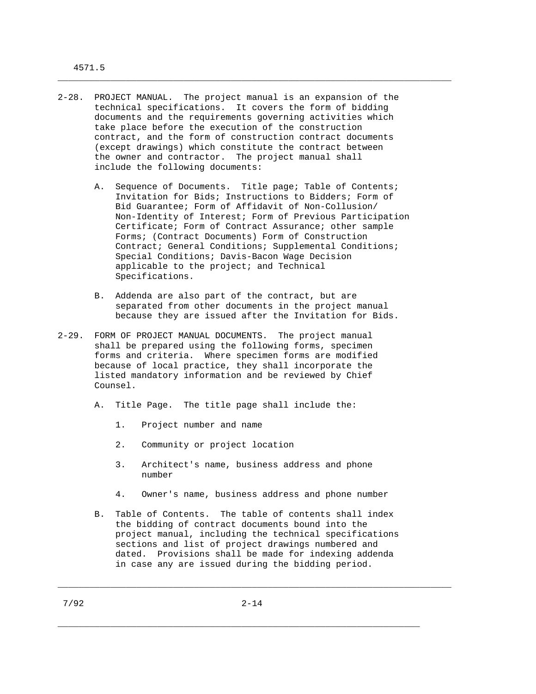- 2-28. PROJECT MANUAL. The project manual is an expansion of the technical specifications. It covers the form of bidding documents and the requirements governing activities which take place before the execution of the construction contract, and the form of construction contract documents (except drawings) which constitute the contract between the owner and contractor. The project manual shall include the following documents:
	- A. Sequence of Documents. Title page; Table of Contents; Invitation for Bids; Instructions to Bidders; Form of Bid Guarantee; Form of Affidavit of Non-Collusion/ Non-Identity of Interest; Form of Previous Participation Certificate; Form of Contract Assurance; other sample Forms; (Contract Documents) Form of Construction Contract; General Conditions; Supplemental Conditions; Special Conditions; Davis-Bacon Wage Decision applicable to the project; and Technical Specifications.

\_\_\_\_\_\_\_\_\_\_\_\_\_\_\_\_\_\_\_\_\_\_\_\_\_\_\_\_\_\_\_\_\_\_\_\_\_\_\_\_\_\_\_\_\_\_\_\_\_\_\_\_\_\_\_\_\_\_\_\_\_\_\_\_\_\_\_\_\_\_\_\_\_\_\_

- B. Addenda are also part of the contract, but are separated from other documents in the project manual because they are issued after the Invitation for Bids.
- 2-29. FORM OF PROJECT MANUAL DOCUMENTS. The project manual shall be prepared using the following forms, specimen forms and criteria. Where specimen forms are modified because of local practice, they shall incorporate the listed mandatory information and be reviewed by Chief Counsel.
	- A. Title Page. The title page shall include the:
		- 1. Project number and name
		- 2. Community or project location
		- 3. Architect's name, business address and phone number
		- 4. Owner's name, business address and phone number
	- B. Table of Contents. The table of contents shall index the bidding of contract documents bound into the project manual, including the technical specifications sections and list of project drawings numbered and dated. Provisions shall be made for indexing addenda in case any are issued during the bidding period.

\_\_\_\_\_\_\_\_\_\_\_\_\_\_\_\_\_\_\_\_\_\_\_\_\_\_\_\_\_\_\_\_\_\_\_\_\_\_\_\_\_\_\_\_\_\_\_\_\_\_\_\_\_\_\_\_\_\_\_\_\_\_\_\_\_\_\_\_\_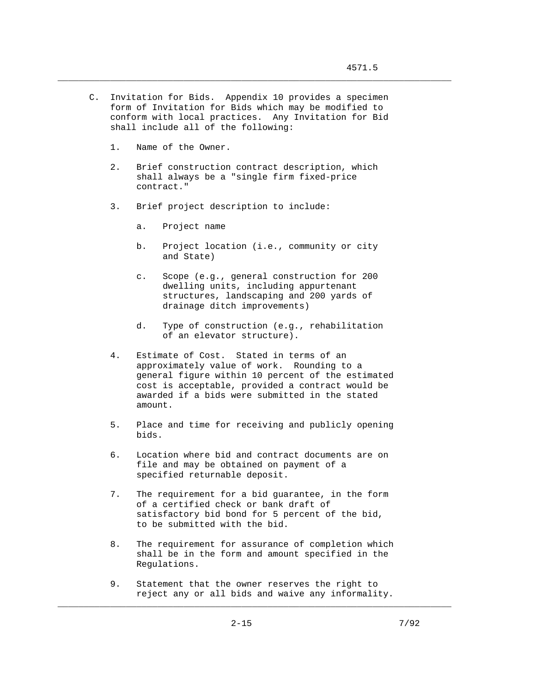C. Invitation for Bids. Appendix 10 provides a specimen form of Invitation for Bids which may be modified to conform with local practices. Any Invitation for Bid shall include all of the following:

\_\_\_\_\_\_\_\_\_\_\_\_\_\_\_\_\_\_\_\_\_\_\_\_\_\_\_\_\_\_\_\_\_\_\_\_\_\_\_\_\_\_\_\_\_\_\_\_\_\_\_\_\_\_\_\_\_\_\_\_\_\_\_\_\_\_\_\_\_\_\_\_\_\_\_

- 1. Name of the Owner.
- 2. Brief construction contract description, which shall always be a "single firm fixed-price contract."
- 3. Brief project description to include:
	- a. Project name
	- b. Project location (i.e., community or city and State)
	- c. Scope (e.g., general construction for 200 dwelling units, including appurtenant structures, landscaping and 200 yards of drainage ditch improvements)
	- d. Type of construction (e.g., rehabilitation of an elevator structure).
- 4. Estimate of Cost. Stated in terms of an approximately value of work. Rounding to a general figure within 10 percent of the estimated cost is acceptable, provided a contract would be awarded if a bids were submitted in the stated amount.
- 5. Place and time for receiving and publicly opening bids.
- 6. Location where bid and contract documents are on file and may be obtained on payment of a specified returnable deposit.
- 7. The requirement for a bid guarantee, in the form of a certified check or bank draft of satisfactory bid bond for 5 percent of the bid, to be submitted with the bid.
- 8. The requirement for assurance of completion which shall be in the form and amount specified in the Regulations.
- 9. Statement that the owner reserves the right to reject any or all bids and waive any informality.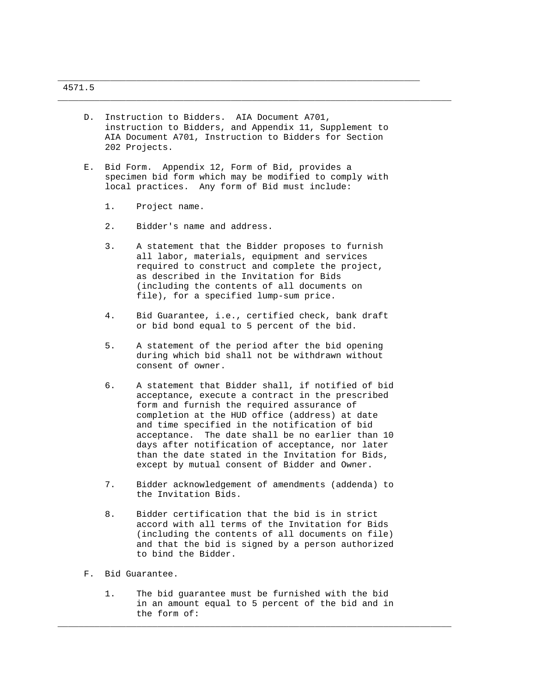D. Instruction to Bidders. AIA Document A701, instruction to Bidders, and Appendix 11, Supplement to AIA Document A701, Instruction to Bidders for Section 202 Projects.

\_\_\_\_\_\_\_\_\_\_\_\_\_\_\_\_\_\_\_\_\_\_\_\_\_\_\_\_\_\_\_\_\_\_\_\_\_\_\_\_\_\_\_\_\_\_\_\_\_\_\_\_\_\_\_\_\_\_\_\_\_\_\_\_\_\_\_\_\_

\_\_\_\_\_\_\_\_\_\_\_\_\_\_\_\_\_\_\_\_\_\_\_\_\_\_\_\_\_\_\_\_\_\_\_\_\_\_\_\_\_\_\_\_\_\_\_\_\_\_\_\_\_\_\_\_\_\_\_\_\_\_\_\_\_\_\_\_\_\_\_\_\_\_\_

- E. Bid Form. Appendix 12, Form of Bid, provides a specimen bid form which may be modified to comply with local practices. Any form of Bid must include:
	- 1. Project name.
	- 2. Bidder's name and address.
	- 3. A statement that the Bidder proposes to furnish all labor, materials, equipment and services required to construct and complete the project, as described in the Invitation for Bids (including the contents of all documents on file), for a specified lump-sum price.
	- 4. Bid Guarantee, i.e., certified check, bank draft or bid bond equal to 5 percent of the bid.
	- 5. A statement of the period after the bid opening during which bid shall not be withdrawn without consent of owner.
	- 6. A statement that Bidder shall, if notified of bid acceptance, execute a contract in the prescribed form and furnish the required assurance of completion at the HUD office (address) at date and time specified in the notification of bid acceptance. The date shall be no earlier than 10 days after notification of acceptance, nor later than the date stated in the Invitation for Bids, except by mutual consent of Bidder and Owner.
	- 7. Bidder acknowledgement of amendments (addenda) to the Invitation Bids.
	- 8. Bidder certification that the bid is in strict accord with all terms of the Invitation for Bids (including the contents of all documents on file) and that the bid is signed by a person authorized to bind the Bidder.
- F. Bid Guarantee.
	- 1. The bid guarantee must be furnished with the bid in an amount equal to 5 percent of the bid and in the form of: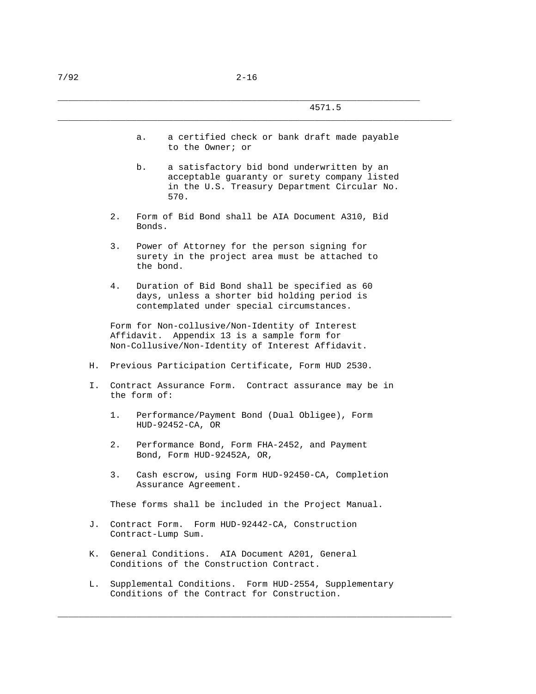a. a certified check or bank draft made payable to the Owner; or

\_\_\_\_\_\_\_\_\_\_\_\_\_\_\_\_\_\_\_\_\_\_\_\_\_\_\_\_\_\_\_\_\_\_\_\_\_\_\_\_\_\_\_\_\_\_\_\_\_\_\_\_\_\_\_\_\_\_\_\_\_\_\_\_\_\_\_\_\_\_\_\_\_\_\_

- b. a satisfactory bid bond underwritten by an acceptable guaranty or surety company listed in the U.S. Treasury Department Circular No. 570.
- 2. Form of Bid Bond shall be AIA Document A310, Bid Bonds.
- 3. Power of Attorney for the person signing for surety in the project area must be attached to the bond.
- 4. Duration of Bid Bond shall be specified as 60 days, unless a shorter bid holding period is contemplated under special circumstances.

 Form for Non-collusive/Non-Identity of Interest Affidavit. Appendix 13 is a sample form for Non-Collusive/Non-Identity of Interest Affidavit.

- H. Previous Participation Certificate, Form HUD 2530.
- I. Contract Assurance Form. Contract assurance may be in the form of:
	- 1. Performance/Payment Bond (Dual Obligee), Form HUD-92452-CA, OR
	- 2. Performance Bond, Form FHA-2452, and Payment Bond, Form HUD-92452A, OR,
	- 3. Cash escrow, using Form HUD-92450-CA, Completion Assurance Agreement.

These forms shall be included in the Project Manual.

- J. Contract Form. Form HUD-92442-CA, Construction Contract-Lump Sum.
- K. General Conditions. AIA Document A201, General Conditions of the Construction Contract.
- L. Supplemental Conditions. Form HUD-2554, Supplementary Conditions of the Contract for Construction.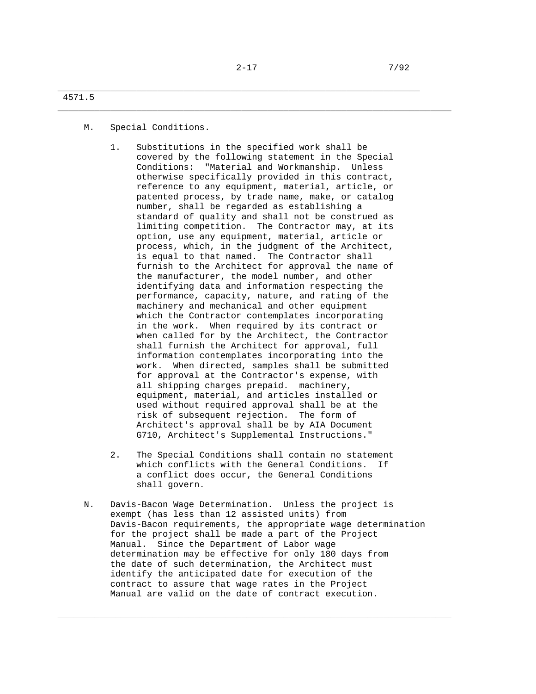\_\_\_\_\_\_\_\_\_\_\_\_\_\_\_\_\_\_\_\_\_\_\_\_\_\_\_\_\_\_\_\_\_\_\_\_\_\_\_\_\_\_\_\_\_\_\_\_\_\_\_\_\_\_\_\_\_\_\_\_\_\_\_\_\_\_\_\_\_\_\_\_\_\_\_

\_\_\_\_\_\_\_\_\_\_\_\_\_\_\_\_\_\_\_\_\_\_\_\_\_\_\_\_\_\_\_\_\_\_\_\_\_\_\_\_\_\_\_\_\_\_\_\_\_\_\_\_\_\_\_\_\_\_\_\_\_\_\_\_\_\_\_\_\_

## 4571.5

M. Special Conditions.

- 1. Substitutions in the specified work shall be covered by the following statement in the Special Conditions: "Material and Workmanship. Unless otherwise specifically provided in this contract, reference to any equipment, material, article, or patented process, by trade name, make, or catalog number, shall be regarded as establishing a standard of quality and shall not be construed as limiting competition. The Contractor may, at its option, use any equipment, material, article or process, which, in the judgment of the Architect, is equal to that named. The Contractor shall furnish to the Architect for approval the name of the manufacturer, the model number, and other identifying data and information respecting the performance, capacity, nature, and rating of the machinery and mechanical and other equipment which the Contractor contemplates incorporating in the work. When required by its contract or when called for by the Architect, the Contractor shall furnish the Architect for approval, full information contemplates incorporating into the work. When directed, samples shall be submitted for approval at the Contractor's expense, with all shipping charges prepaid. machinery, equipment, material, and articles installed or used without required approval shall be at the risk of subsequent rejection. The form of Architect's approval shall be by AIA Document G710, Architect's Supplemental Instructions."
- 2. The Special Conditions shall contain no statement which conflicts with the General Conditions. If a conflict does occur, the General Conditions shall govern.
- N. Davis-Bacon Wage Determination. Unless the project is exempt (has less than 12 assisted units) from Davis-Bacon requirements, the appropriate wage determination for the project shall be made a part of the Project Manual. Since the Department of Labor wage determination may be effective for only 180 days from the date of such determination, the Architect must identify the anticipated date for execution of the contract to assure that wage rates in the Project Manual are valid on the date of contract execution.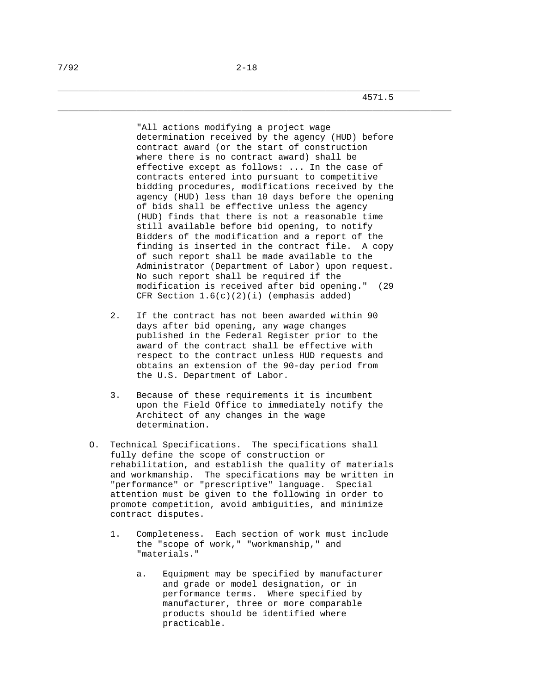4571.5

 "All actions modifying a project wage determination received by the agency (HUD) before contract award (or the start of construction where there is no contract award) shall be effective except as follows: ... In the case of contracts entered into pursuant to competitive bidding procedures, modifications received by the agency (HUD) less than 10 days before the opening of bids shall be effective unless the agency (HUD) finds that there is not a reasonable time still available before bid opening, to notify Bidders of the modification and a report of the finding is inserted in the contract file. A copy of such report shall be made available to the Administrator (Department of Labor) upon request. No such report shall be required if the modification is received after bid opening." (29 CFR Section 1.6(c)(2)(i) (emphasis added)

- 2. If the contract has not been awarded within 90 days after bid opening, any wage changes published in the Federal Register prior to the award of the contract shall be effective with respect to the contract unless HUD requests and obtains an extension of the 90-day period from the U.S. Department of Labor.
- 3. Because of these requirements it is incumbent upon the Field Office to immediately notify the Architect of any changes in the wage determination.
- O. Technical Specifications. The specifications shall fully define the scope of construction or rehabilitation, and establish the quality of materials and workmanship. The specifications may be written in "performance" or "prescriptive" language. Special attention must be given to the following in order to promote competition, avoid ambiguities, and minimize contract disputes.
	- 1. Completeness. Each section of work must include the "scope of work," "workmanship," and "materials."
		- a. Equipment may be specified by manufacturer and grade or model designation, or in performance terms. Where specified by manufacturer, three or more comparable products should be identified where practicable.

\_\_\_\_\_\_\_\_\_\_\_\_\_\_\_\_\_\_\_\_\_\_\_\_\_\_\_\_\_\_\_\_\_\_\_\_\_\_\_\_\_\_\_\_\_\_\_\_\_\_\_\_\_\_\_\_\_\_\_\_\_\_\_\_\_\_\_\_\_\_\_\_\_\_\_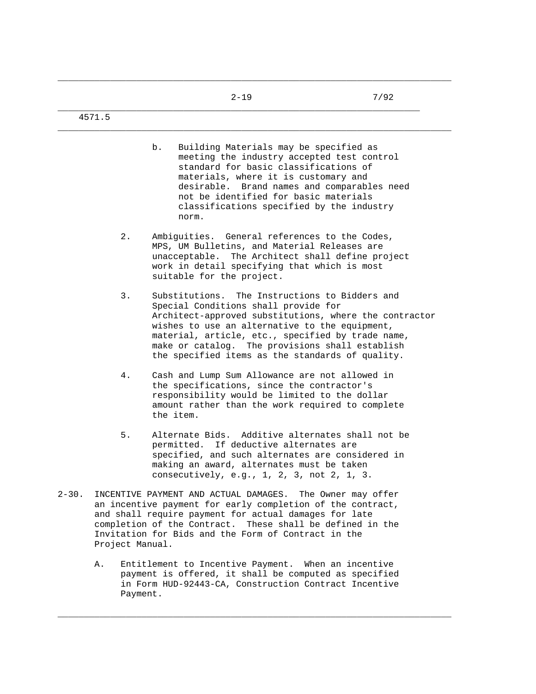\_\_\_\_\_\_\_\_\_\_\_\_\_\_\_\_\_\_\_\_\_\_\_\_\_\_\_\_\_\_\_\_\_\_\_\_\_\_\_\_\_\_\_\_\_\_\_\_\_\_\_\_\_\_\_\_\_\_\_\_\_\_\_\_\_\_\_\_\_\_\_\_\_\_\_

\_\_\_\_\_\_\_\_\_\_\_\_\_\_\_\_\_\_\_\_\_\_\_\_\_\_\_\_\_\_\_\_\_\_\_\_\_\_\_\_\_\_\_\_\_\_\_\_\_\_\_\_\_\_\_\_\_\_\_\_\_\_\_\_\_\_\_\_\_\_\_\_\_\_\_

4571.5

- b. Building Materials may be specified as meeting the industry accepted test control standard for basic classifications of materials, where it is customary and desirable. Brand names and comparables need not be identified for basic materials classifications specified by the industry norm.
- 2. Ambiguities. General references to the Codes, MPS, UM Bulletins, and Material Releases are unacceptable. The Architect shall define project work in detail specifying that which is most suitable for the project.
- 3. Substitutions. The Instructions to Bidders and Special Conditions shall provide for Architect-approved substitutions, where the contractor wishes to use an alternative to the equipment, material, article, etc., specified by trade name, make or catalog. The provisions shall establish the specified items as the standards of quality.
- 4. Cash and Lump Sum Allowance are not allowed in the specifications, since the contractor's responsibility would be limited to the dollar amount rather than the work required to complete the item.
- 5. Alternate Bids. Additive alternates shall not be permitted. If deductive alternates are specified, and such alternates are considered in making an award, alternates must be taken consecutively, e.g., 1, 2, 3, not 2, 1, 3.
- 2-30. INCENTIVE PAYMENT AND ACTUAL DAMAGES. The Owner may offer an incentive payment for early completion of the contract, and shall require payment for actual damages for late completion of the Contract. These shall be defined in the Invitation for Bids and the Form of Contract in the Project Manual.
	- A. Entitlement to Incentive Payment. When an incentive payment is offered, it shall be computed as specified in Form HUD-92443-CA, Construction Contract Incentive Payment.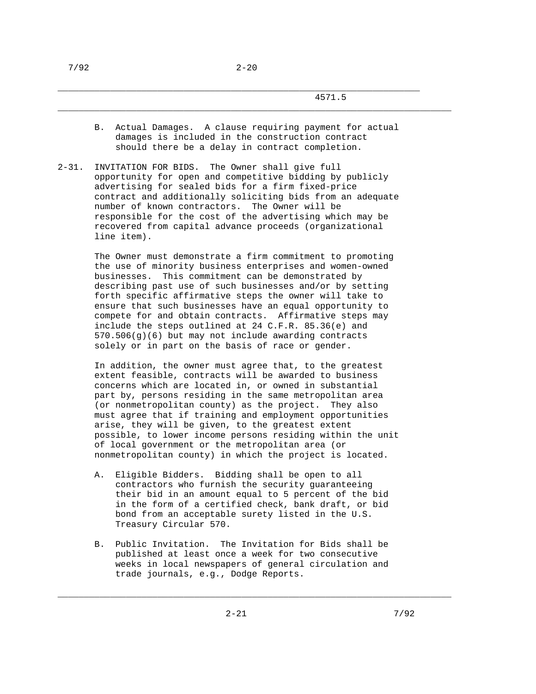\_\_\_\_\_\_\_\_\_\_\_\_\_\_\_\_\_\_\_\_\_\_\_\_\_\_\_\_\_\_\_\_\_\_\_\_\_\_\_\_\_\_\_\_\_\_\_\_\_\_\_\_\_\_\_\_\_\_\_\_\_\_\_\_\_\_\_\_\_

## 4571.5

 B. Actual Damages. A clause requiring payment for actual damages is included in the construction contract should there be a delay in contract completion.

\_\_\_\_\_\_\_\_\_\_\_\_\_\_\_\_\_\_\_\_\_\_\_\_\_\_\_\_\_\_\_\_\_\_\_\_\_\_\_\_\_\_\_\_\_\_\_\_\_\_\_\_\_\_\_\_\_\_\_\_\_\_\_\_\_\_\_\_\_\_\_\_\_\_\_

2-31. INVITATION FOR BIDS. The Owner shall give full opportunity for open and competitive bidding by publicly advertising for sealed bids for a firm fixed-price contract and additionally soliciting bids from an adequate number of known contractors. The Owner will be responsible for the cost of the advertising which may be recovered from capital advance proceeds (organizational line item).

> The Owner must demonstrate a firm commitment to promoting the use of minority business enterprises and women-owned businesses. This commitment can be demonstrated by describing past use of such businesses and/or by setting forth specific affirmative steps the owner will take to ensure that such businesses have an equal opportunity to compete for and obtain contracts. Affirmative steps may include the steps outlined at 24 C.F.R. 85.36(e) and 570.506(g)(6) but may not include awarding contracts solely or in part on the basis of race or gender.

 In addition, the owner must agree that, to the greatest extent feasible, contracts will be awarded to business concerns which are located in, or owned in substantial part by, persons residing in the same metropolitan area (or nonmetropolitan county) as the project. They also must agree that if training and employment opportunities arise, they will be given, to the greatest extent possible, to lower income persons residing within the unit of local government or the metropolitan area (or nonmetropolitan county) in which the project is located.

- A. Eligible Bidders. Bidding shall be open to all contractors who furnish the security guaranteeing their bid in an amount equal to 5 percent of the bid in the form of a certified check, bank draft, or bid bond from an acceptable surety listed in the U.S. Treasury Circular 570.
- B. Public Invitation. The Invitation for Bids shall be published at least once a week for two consecutive weeks in local newspapers of general circulation and trade journals, e.g., Dodge Reports.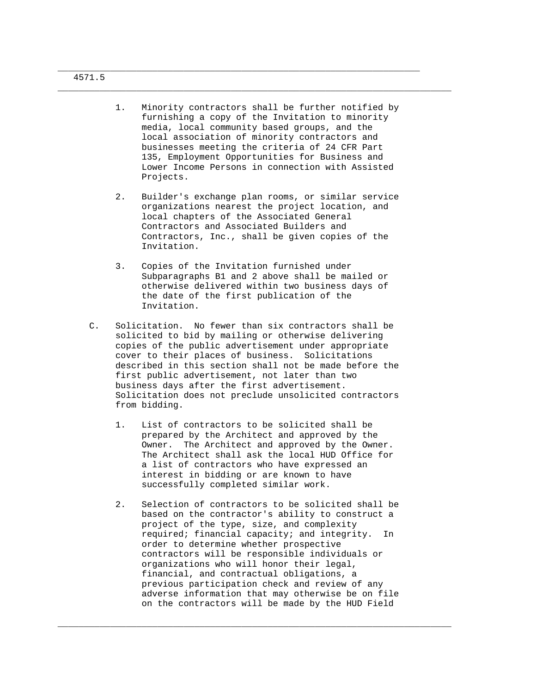|    | 1.    | Minority contractors shall be further notified by<br>furnishing a copy of the Invitation to minority<br>media, local community based groups, and the<br>local association of minority contractors and<br>businesses meeting the criteria of 24 CFR Part<br>135, Employment Opportunities for Business and<br>Lower Income Persons in connection with Assisted<br>Projects.                                                                                     |
|----|-------|----------------------------------------------------------------------------------------------------------------------------------------------------------------------------------------------------------------------------------------------------------------------------------------------------------------------------------------------------------------------------------------------------------------------------------------------------------------|
|    | $2$ . | Builder's exchange plan rooms, or similar service<br>organizations nearest the project location, and<br>local chapters of the Associated General<br>Contractors and Associated Builders and<br>Contractors, Inc., shall be given copies of the<br>Invitation.                                                                                                                                                                                                  |
|    | 3.    | Copies of the Invitation furnished under<br>Subparagraphs B1 and 2 above shall be mailed or<br>otherwise delivered within two business days of<br>the date of the first publication of the<br>Invitation.                                                                                                                                                                                                                                                      |
| С. |       | Solicitation. No fewer than six contractors shall be<br>solicited to bid by mailing or otherwise delivering<br>copies of the public advertisement under appropriate<br>cover to their places of business. Solicitations<br>described in this section shall not be made before the<br>first public advertisement, not later than two<br>business days after the first advertisement.<br>Solicitation does not preclude unsolicited contractors<br>from bidding. |
|    | 1.    | List of contractors to be solicited shall be                                                                                                                                                                                                                                                                                                                                                                                                                   |
|    |       | prepared by the Architect and approved by the<br>Owner. The Architect and approved by the Owner.<br>The Architect shall ask the local HUD Office for<br>a list of contractors who have expressed an<br>interest in bidding or are known to have<br>successfully completed similar work.                                                                                                                                                                        |

\_\_\_\_\_\_\_\_\_\_\_\_\_\_\_\_\_\_\_\_\_\_\_\_\_\_\_\_\_\_\_\_\_\_\_\_\_\_\_\_\_\_\_\_\_\_\_\_\_\_\_\_\_\_\_\_\_\_\_\_\_\_\_\_\_\_\_\_\_

\_\_\_\_\_\_\_\_\_\_\_\_\_\_\_\_\_\_\_\_\_\_\_\_\_\_\_\_\_\_\_\_\_\_\_\_\_\_\_\_\_\_\_\_\_\_\_\_\_\_\_\_\_\_\_\_\_\_\_\_\_\_\_\_\_\_\_\_\_\_\_\_\_\_\_

 required; financial capacity; and integrity. In order to determine whether prospective contractors will be responsible individuals or organizations who will honor their legal, financial, and contractual obligations, a previous participation check and review of any adverse information that may otherwise be on file on the contractors will be made by the HUD Field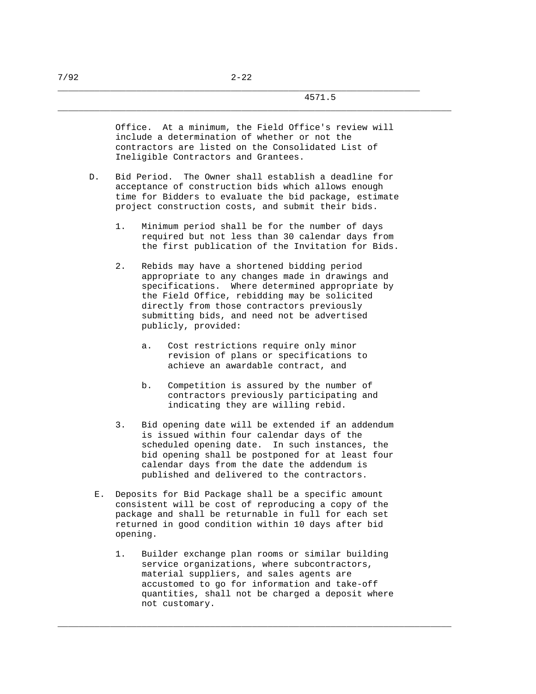#### 4571.5

 Office. At a minimum, the Field Office's review will include a determination of whether or not the contractors are listed on the Consolidated List of Ineligible Contractors and Grantees.

\_\_\_\_\_\_\_\_\_\_\_\_\_\_\_\_\_\_\_\_\_\_\_\_\_\_\_\_\_\_\_\_\_\_\_\_\_\_\_\_\_\_\_\_\_\_\_\_\_\_\_\_\_\_\_\_\_\_\_\_\_\_\_\_\_\_\_\_\_\_\_\_\_\_\_

- D. Bid Period. The Owner shall establish a deadline for acceptance of construction bids which allows enough time for Bidders to evaluate the bid package, estimate project construction costs, and submit their bids.
	- 1. Minimum period shall be for the number of days required but not less than 30 calendar days from the first publication of the Invitation for Bids.
	- 2. Rebids may have a shortened bidding period appropriate to any changes made in drawings and specifications. Where determined appropriate by the Field Office, rebidding may be solicited directly from those contractors previously submitting bids, and need not be advertised publicly, provided:
		- a. Cost restrictions require only minor revision of plans or specifications to achieve an awardable contract, and
		- b. Competition is assured by the number of contractors previously participating and indicating they are willing rebid.
	- 3. Bid opening date will be extended if an addendum is issued within four calendar days of the scheduled opening date. In such instances, the bid opening shall be postponed for at least four calendar days from the date the addendum is published and delivered to the contractors.
	- E. Deposits for Bid Package shall be a specific amount consistent will be cost of reproducing a copy of the package and shall be returnable in full for each set returned in good condition within 10 days after bid opening.
		- 1. Builder exchange plan rooms or similar building service organizations, where subcontractors, material suppliers, and sales agents are accustomed to go for information and take-off quantities, shall not be charged a deposit where not customary.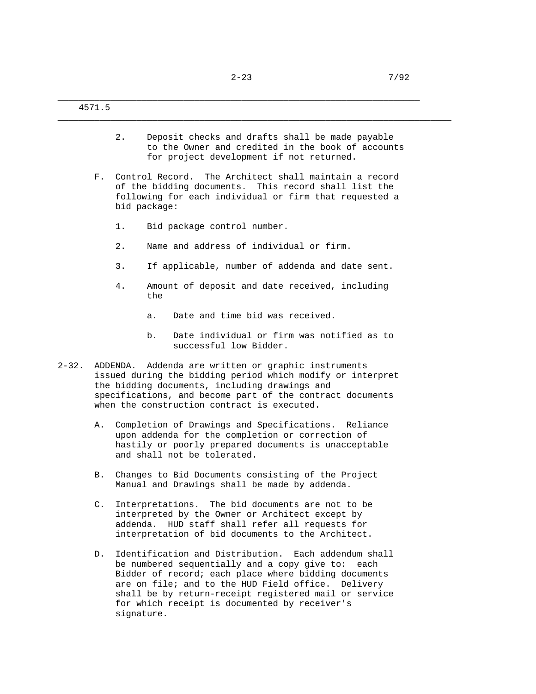\_\_\_\_\_\_\_\_\_\_\_\_\_\_\_\_\_\_\_\_\_\_\_\_\_\_\_\_\_\_\_\_\_\_\_\_\_\_\_\_\_\_\_\_\_\_\_\_\_\_\_\_\_\_\_\_\_\_\_\_\_\_\_\_\_\_\_\_\_

 2. Deposit checks and drafts shall be made payable to the Owner and credited in the book of accounts for project development if not returned.

- F. Control Record. The Architect shall maintain a record of the bidding documents. This record shall list the following for each individual or firm that requested a bid package:
	- 1. Bid package control number.
	- 2. Name and address of individual or firm.
	- 3. If applicable, number of addenda and date sent.
	- 4. Amount of deposit and date received, including the
		- a. Date and time bid was received.
		- b. Date individual or firm was notified as to successful low Bidder.
- 2-32. ADDENDA. Addenda are written or graphic instruments issued during the bidding period which modify or interpret the bidding documents, including drawings and specifications, and become part of the contract documents when the construction contract is executed.
	- A. Completion of Drawings and Specifications. Reliance upon addenda for the completion or correction of hastily or poorly prepared documents is unacceptable and shall not be tolerated.
	- B. Changes to Bid Documents consisting of the Project Manual and Drawings shall be made by addenda.
	- C. Interpretations. The bid documents are not to be interpreted by the Owner or Architect except by addenda. HUD staff shall refer all requests for interpretation of bid documents to the Architect.
	- D. Identification and Distribution. Each addendum shall be numbered sequentially and a copy give to: each Bidder of record; each place where bidding documents are on file; and to the HUD Field office. Delivery shall be by return-receipt registered mail or service for which receipt is documented by receiver's signature.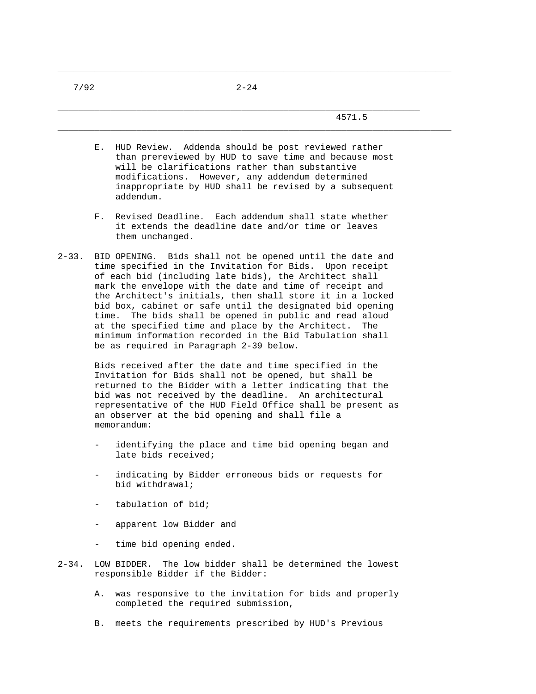\_\_\_\_\_\_\_\_\_\_\_\_\_\_\_\_\_\_\_\_\_\_\_\_\_\_\_\_\_\_\_\_\_\_\_\_\_\_\_\_\_\_\_\_\_\_\_\_\_\_\_\_\_\_\_\_\_\_\_\_\_\_\_\_\_\_\_\_\_

\_\_\_\_\_\_\_\_\_\_\_\_\_\_\_\_\_\_\_\_\_\_\_\_\_\_\_\_\_\_\_\_\_\_\_\_\_\_\_\_\_\_\_\_\_\_\_\_\_\_\_\_\_\_\_\_\_\_\_\_\_\_\_\_\_\_\_\_\_\_\_\_\_\_\_

\_\_\_\_\_\_\_\_\_\_\_\_\_\_\_\_\_\_\_\_\_\_\_\_\_\_\_\_\_\_\_\_\_\_\_\_\_\_\_\_\_\_\_\_\_\_\_\_\_\_\_\_\_\_\_\_\_\_\_\_\_\_\_\_\_\_\_\_\_\_\_\_\_\_\_

- E. HUD Review. Addenda should be post reviewed rather than prereviewed by HUD to save time and because most will be clarifications rather than substantive modifications. However, any addendum determined inappropriate by HUD shall be revised by a subsequent addendum.
- F. Revised Deadline. Each addendum shall state whether it extends the deadline date and/or time or leaves them unchanged.
- 2-33. BID OPENING. Bids shall not be opened until the date and time specified in the Invitation for Bids. Upon receipt of each bid (including late bids), the Architect shall mark the envelope with the date and time of receipt and the Architect's initials, then shall store it in a locked bid box, cabinet or safe until the designated bid opening time. The bids shall be opened in public and read aloud at the specified time and place by the Architect. The minimum information recorded in the Bid Tabulation shall be as required in Paragraph 2-39 below.

 Bids received after the date and time specified in the Invitation for Bids shall not be opened, but shall be returned to the Bidder with a letter indicating that the bid was not received by the deadline. An architectural representative of the HUD Field Office shall be present as an observer at the bid opening and shall file a memorandum:

- identifying the place and time bid opening began and late bids received;
- indicating by Bidder erroneous bids or requests for bid withdrawal;
- tabulation of bid;
- apparent low Bidder and
- time bid opening ended.
- 2-34. LOW BIDDER. The low bidder shall be determined the lowest responsible Bidder if the Bidder:
	- A. was responsive to the invitation for bids and properly completed the required submission,
	- B. meets the requirements prescribed by HUD's Previous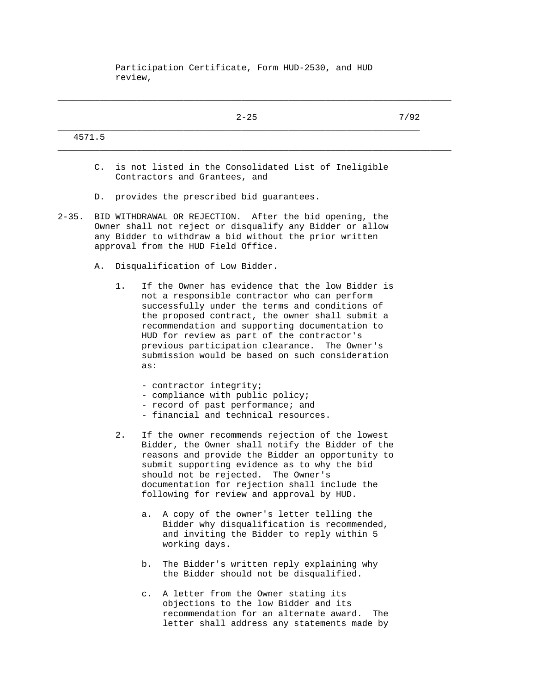Participation Certificate, Form HUD-2530, and HUD review,

\_\_\_\_\_\_\_\_\_\_\_\_\_\_\_\_\_\_\_\_\_\_\_\_\_\_\_\_\_\_\_\_\_\_\_\_\_\_\_\_\_\_\_\_\_\_\_\_\_\_\_\_\_\_\_\_\_\_\_\_\_\_\_\_\_\_\_\_\_\_\_\_\_\_\_

|            |                |       | $2 - 25$                                                                                                                                                                                                                                                                                                                                                                                                         | 7/92 |
|------------|----------------|-------|------------------------------------------------------------------------------------------------------------------------------------------------------------------------------------------------------------------------------------------------------------------------------------------------------------------------------------------------------------------------------------------------------------------|------|
|            | 4571.5         |       |                                                                                                                                                                                                                                                                                                                                                                                                                  |      |
|            | $\mathsf{C}$ . |       | is not listed in the Consolidated List of Ineligible<br>Contractors and Grantees, and                                                                                                                                                                                                                                                                                                                            |      |
|            |                |       | D. provides the prescribed bid guarantees.                                                                                                                                                                                                                                                                                                                                                                       |      |
| $2 - 35$ . |                |       | BID WITHDRAWAL OR REJECTION.<br>After the bid opening, the<br>Owner shall not reject or disqualify any Bidder or allow<br>any Bidder to withdraw a bid without the prior written<br>approval from the HUD Field Office.                                                                                                                                                                                          |      |
|            | Α.             |       | Disqualification of Low Bidder.                                                                                                                                                                                                                                                                                                                                                                                  |      |
|            |                | 1.    | If the Owner has evidence that the low Bidder is<br>not a responsible contractor who can perform<br>successfully under the terms and conditions of<br>the proposed contract, the owner shall submit a<br>recommendation and supporting documentation to<br>HUD for review as part of the contractor's<br>previous participation clearance. The Owner's<br>submission would be based on such consideration<br>as: |      |
|            |                |       | - contractor integrity;<br>- compliance with public policy;<br>- record of past performance; and<br>- financial and technical resources.                                                                                                                                                                                                                                                                         |      |
|            |                | $2$ . | If the owner recommends rejection of the lowest<br>Bidder, the Owner shall notify the Bidder of the<br>reasons and provide the Bidder an opportunity to<br>submit supporting evidence as to why the bid<br>should not be rejected.<br>The Owner's<br>documentation for rejection shall include the<br>following for review and approval by HUD.                                                                  |      |
|            |                |       | A copy of the owner's letter telling the<br>а.<br>Bidder why disqualification is recommended,<br>and inviting the Bidder to reply within 5<br>working days.                                                                                                                                                                                                                                                      |      |
|            |                |       | The Bidder's written reply explaining why<br>$b$ .<br>the Bidder should not be disqualified.                                                                                                                                                                                                                                                                                                                     |      |
|            |                |       | A letter from the Owner stating its<br>$\mathsf{c}$ .<br>objections to the low Bidder and its<br>recommendation for an alternate award.<br>The                                                                                                                                                                                                                                                                   |      |

letter shall address any statements made by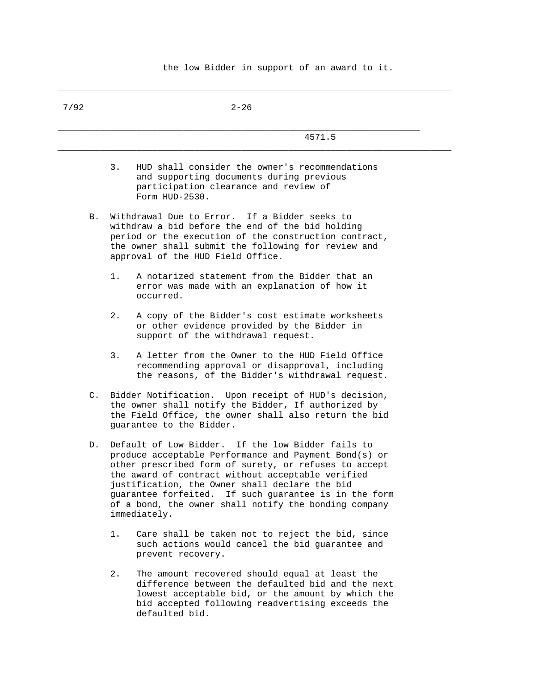| 7/92           | $2 - 26$                                                                                                                                                                                                                                                                                                                                                                                                     |
|----------------|--------------------------------------------------------------------------------------------------------------------------------------------------------------------------------------------------------------------------------------------------------------------------------------------------------------------------------------------------------------------------------------------------------------|
|                | 4571.5                                                                                                                                                                                                                                                                                                                                                                                                       |
|                | 3.<br>HUD shall consider the owner's recommendations<br>and supporting documents during previous<br>participation clearance and review of<br>Form HUD-2530.                                                                                                                                                                                                                                                  |
| В.             | Withdrawal Due to Error. If a Bidder seeks to<br>withdraw a bid before the end of the bid holding<br>period or the execution of the construction contract,<br>the owner shall submit the following for review and<br>approval of the HUD Field Office.                                                                                                                                                       |
|                | A notarized statement from the Bidder that an<br>$1$ .<br>error was made with an explanation of how it<br>occurred.                                                                                                                                                                                                                                                                                          |
|                | 2.<br>A copy of the Bidder's cost estimate worksheets<br>or other evidence provided by the Bidder in<br>support of the withdrawal request.                                                                                                                                                                                                                                                                   |
|                | A letter from the Owner to the HUD Field Office<br>3.<br>recommending approval or disapproval, including<br>the reasons, of the Bidder's withdrawal request.                                                                                                                                                                                                                                                 |
| $\mathsf{C}$ . | Bidder Notification. Upon receipt of HUD's decision,<br>the owner shall notify the Bidder, If authorized by<br>the Field Office, the owner shall also return the bid<br>guarantee to the Bidder.                                                                                                                                                                                                             |
| D.             | Default of Low Bidder. If the low Bidder fails to<br>produce acceptable Performance and Payment Bond(s) or<br>other prescribed form of surety, or refuses to accept<br>the award of contract without acceptable verified<br>justification, the Owner shall declare the bid<br>guarantee forfeited. If such guarantee is in the form<br>of a bond, the owner shall notify the bonding company<br>immediately. |
|                | $1$ .<br>Care shall be taken not to reject the bid, since<br>such actions would cancel the bid guarantee and<br>prevent recovery.                                                                                                                                                                                                                                                                            |
|                | 2.<br>The amount recovered should equal at least the<br>difference between the defaulted bid and the next<br>lowest acceptable bid, or the amount by which the                                                                                                                                                                                                                                               |

bid accepted following readvertising exceeds the

defaulted bid.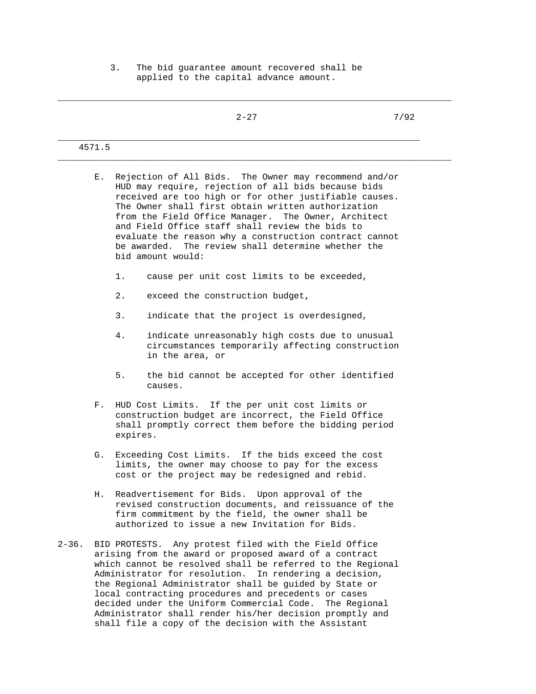3. The bid guarantee amount recovered shall be applied to the capital advance amount.

\_\_\_\_\_\_\_\_\_\_\_\_\_\_\_\_\_\_\_\_\_\_\_\_\_\_\_\_\_\_\_\_\_\_\_\_\_\_\_\_\_\_\_\_\_\_\_\_\_\_\_\_\_\_\_\_\_\_\_\_\_\_\_\_\_\_\_\_\_\_\_\_\_\_\_

|            |                 | $2 - 27$                                                                                                                                                                                                                                                                                                                                                                                                                                                                    | 7/92 |
|------------|-----------------|-----------------------------------------------------------------------------------------------------------------------------------------------------------------------------------------------------------------------------------------------------------------------------------------------------------------------------------------------------------------------------------------------------------------------------------------------------------------------------|------|
| 4571.5     |                 |                                                                                                                                                                                                                                                                                                                                                                                                                                                                             |      |
| Е.         |                 | Rejection of All Bids. The Owner may recommend and/or<br>HUD may require, rejection of all bids because bids<br>received are too high or for other justifiable causes.<br>The Owner shall first obtain written authorization<br>from the Field Office Manager. The Owner, Architect<br>and Field Office staff shall review the bids to<br>evaluate the reason why a construction contract cannot<br>be awarded. The review shall determine whether the<br>bid amount would: |      |
|            | 1.              | cause per unit cost limits to be exceeded,                                                                                                                                                                                                                                                                                                                                                                                                                                  |      |
|            | 2.              | exceed the construction budget,                                                                                                                                                                                                                                                                                                                                                                                                                                             |      |
|            | 3.              | indicate that the project is overdesigned,                                                                                                                                                                                                                                                                                                                                                                                                                                  |      |
|            | 4.              | indicate unreasonably high costs due to unusual<br>circumstances temporarily affecting construction<br>in the area, or                                                                                                                                                                                                                                                                                                                                                      |      |
|            | 5.              | the bid cannot be accepted for other identified<br>causes.                                                                                                                                                                                                                                                                                                                                                                                                                  |      |
|            | $F_{\rm \star}$ | HUD Cost Limits. If the per unit cost limits or<br>construction budget are incorrect, the Field Office<br>shall promptly correct them before the bidding period<br>expires.                                                                                                                                                                                                                                                                                                 |      |
|            | G.              | Exceeding Cost Limits. If the bids exceed the cost<br>limits, the owner may choose to pay for the excess<br>cost or the project may be redesigned and rebid.                                                                                                                                                                                                                                                                                                                |      |
| Н.         |                 | Readvertisement for Bids.<br>Upon approval of the<br>revised construction documents, and reissuance of the<br>firm commitment by the field, the owner shall be<br>authorized to issue a new Invitation for Bids.                                                                                                                                                                                                                                                            |      |
| $2 - 36$ . |                 | Any protest filed with the Field Office<br>BID PROTESTS.<br>arising from the award or proposed award of a contract<br>which cannot be resolved shall be referred to the Regional<br>Administrator for resolution.<br>In rendering a decision,<br>the Regional Administrator shall be guided by State or<br>local contracting procedures and precedents or cases                                                                                                             |      |

 decided under the Uniform Commercial Code. The Regional Administrator shall render his/her decision promptly and shall file a copy of the decision with the Assistant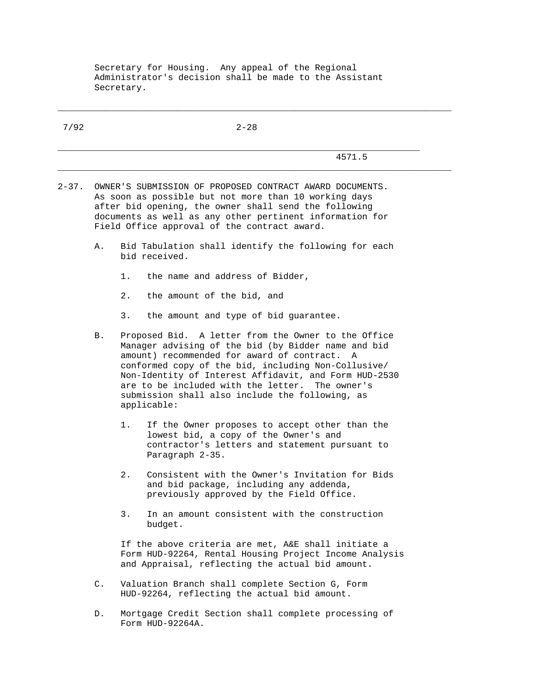Secretary for Housing. Any appeal of the Regional Administrator's decision shall be made to the Assistant Secretary.

\_\_\_\_\_\_\_\_\_\_\_\_\_\_\_\_\_\_\_\_\_\_\_\_\_\_\_\_\_\_\_\_\_\_\_\_\_\_\_\_\_\_\_\_\_\_\_\_\_\_\_\_\_\_\_\_\_\_\_\_\_\_\_\_\_\_\_\_\_\_\_\_\_\_\_

| 7/92       |                                                                                                                                                                                                                                                                                                                                                                                                       | $2 - 28$                                                                                                                                                                                                                                                                               |  |  |  |
|------------|-------------------------------------------------------------------------------------------------------------------------------------------------------------------------------------------------------------------------------------------------------------------------------------------------------------------------------------------------------------------------------------------------------|----------------------------------------------------------------------------------------------------------------------------------------------------------------------------------------------------------------------------------------------------------------------------------------|--|--|--|
|            |                                                                                                                                                                                                                                                                                                                                                                                                       | 4571.5                                                                                                                                                                                                                                                                                 |  |  |  |
| $2 - 37$ . |                                                                                                                                                                                                                                                                                                                                                                                                       | OWNER'S SUBMISSION OF PROPOSED CONTRACT AWARD DOCUMENTS.<br>As soon as possible but not more than 10 working days<br>after bid opening, the owner shall send the following<br>documents as well as any other pertinent information for<br>Field Office approval of the contract award. |  |  |  |
|            | Α.                                                                                                                                                                                                                                                                                                                                                                                                    | Bid Tabulation shall identify the following for each<br>bid received.                                                                                                                                                                                                                  |  |  |  |
|            |                                                                                                                                                                                                                                                                                                                                                                                                       | $1$ .<br>the name and address of Bidder,                                                                                                                                                                                                                                               |  |  |  |
|            |                                                                                                                                                                                                                                                                                                                                                                                                       | 2.<br>the amount of the bid, and                                                                                                                                                                                                                                                       |  |  |  |
|            |                                                                                                                                                                                                                                                                                                                                                                                                       | 3.<br>the amount and type of bid guarantee.                                                                                                                                                                                                                                            |  |  |  |
|            | Proposed Bid. A letter from the Owner to the Office<br>В.<br>Manager advising of the bid (by Bidder name and bid<br>amount) recommended for award of contract. A<br>conformed copy of the bid, including Non-Collusive/<br>Non-Identity of Interest Affidavit, and Form HUD-2530<br>are to be included with the letter. The owner's<br>submission shall also include the following, as<br>applicable: |                                                                                                                                                                                                                                                                                        |  |  |  |
|            |                                                                                                                                                                                                                                                                                                                                                                                                       | 1.<br>If the Owner proposes to accept other than the<br>lowest bid, a copy of the Owner's and<br>contractor's letters and statement pursuant to<br>Paragraph 2-35.                                                                                                                     |  |  |  |
|            |                                                                                                                                                                                                                                                                                                                                                                                                       | 2.<br>Consistent with the Owner's Invitation for Bids<br>and bid package, including any addenda,<br>previously approved by the Field Office.                                                                                                                                           |  |  |  |
|            |                                                                                                                                                                                                                                                                                                                                                                                                       | 3.<br>In an amount consistent with the construction<br>budget.                                                                                                                                                                                                                         |  |  |  |
|            | If the above criteria are met, A&E shall initiate a<br>Form HUD-92264, Rental Housing Project Income Analysis<br>and Appraisal, reflecting the actual bid amount.                                                                                                                                                                                                                                     |                                                                                                                                                                                                                                                                                        |  |  |  |
|            | $\mathsf{C}$ .                                                                                                                                                                                                                                                                                                                                                                                        | Valuation Branch shall complete Section G, Form<br>HUD-92264, reflecting the actual bid amount.                                                                                                                                                                                        |  |  |  |
|            |                                                                                                                                                                                                                                                                                                                                                                                                       |                                                                                                                                                                                                                                                                                        |  |  |  |

 D. Mortgage Credit Section shall complete processing of Form HUD-92264A.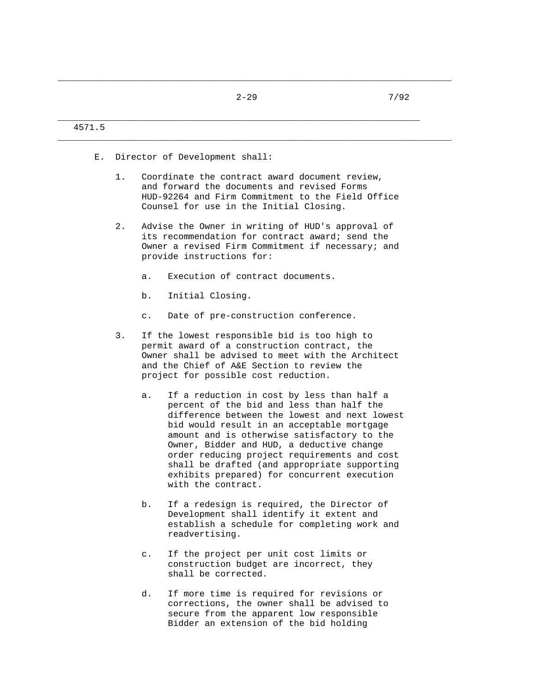\_\_\_\_\_\_\_\_\_\_\_\_\_\_\_\_\_\_\_\_\_\_\_\_\_\_\_\_\_\_\_\_\_\_\_\_\_\_\_\_\_\_\_\_\_\_\_\_\_\_\_\_\_\_\_\_\_\_\_\_\_\_\_\_\_\_\_\_\_\_\_\_\_\_\_

# $2-29$   $7/92$

# \_\_\_\_\_\_\_\_\_\_\_\_\_\_\_\_\_\_\_\_\_\_\_\_\_\_\_\_\_\_\_\_\_\_\_\_\_\_\_\_\_\_\_\_\_\_\_\_\_\_\_\_\_\_\_\_\_\_\_\_\_\_\_\_\_\_\_\_\_ 4571.5 \_\_\_\_\_\_\_\_\_\_\_\_\_\_\_\_\_\_\_\_\_\_\_\_\_\_\_\_\_\_\_\_\_\_\_\_\_\_\_\_\_\_\_\_\_\_\_\_\_\_\_\_\_\_\_\_\_\_\_\_\_\_\_\_\_\_\_\_\_\_\_\_\_\_\_ E. Director of Development shall: 1. Coordinate the contract award document review, and forward the documents and revised Forms HUD-92264 and Firm Commitment to the Field Office Counsel for use in the Initial Closing. 2. Advise the Owner in writing of HUD's approval of its recommendation for contract award; send the Owner a revised Firm Commitment if necessary; and provide instructions for: a. Execution of contract documents. b. Initial Closing. c. Date of pre-construction conference. 3. If the lowest responsible bid is too high to permit award of a construction contract, the Owner shall be advised to meet with the Architect and the Chief of A&E Section to review the project for possible cost reduction. a. If a reduction in cost by less than half a percent of the bid and less than half the difference between the lowest and next lowest bid would result in an acceptable mortgage amount and is otherwise satisfactory to the Owner, Bidder and HUD, a deductive change order reducing project requirements and cost shall be drafted (and appropriate supporting exhibits prepared) for concurrent execution with the contract. b. If a redesign is required, the Director of Development shall identify it extent and establish a schedule for completing work and readvertising. c. If the project per unit cost limits or construction budget are incorrect, they shall be corrected.

 d. If more time is required for revisions or corrections, the owner shall be advised to secure from the apparent low responsible Bidder an extension of the bid holding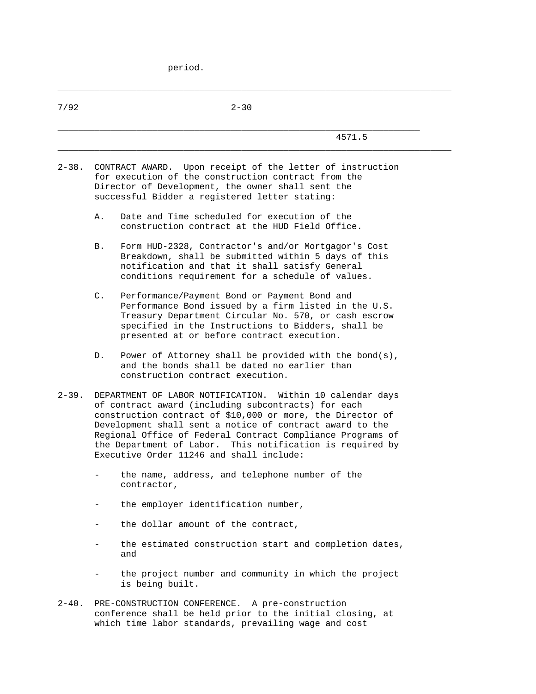period.

| 7/92       |    | $2 - 30$                                                                                                                                                                                                                                                                                                                                                                                                          |
|------------|----|-------------------------------------------------------------------------------------------------------------------------------------------------------------------------------------------------------------------------------------------------------------------------------------------------------------------------------------------------------------------------------------------------------------------|
|            |    | 4571.5                                                                                                                                                                                                                                                                                                                                                                                                            |
| $2 - 38.$  |    | CONTRACT AWARD. Upon receipt of the letter of instruction<br>for execution of the construction contract from the<br>Director of Development, the owner shall sent the<br>successful Bidder a registered letter stating:                                                                                                                                                                                           |
|            | Α. | Date and Time scheduled for execution of the<br>construction contract at the HUD Field Office.                                                                                                                                                                                                                                                                                                                    |
|            | В. | Form HUD-2328, Contractor's and/or Mortgagor's Cost<br>Breakdown, shall be submitted within 5 days of this<br>notification and that it shall satisfy General<br>conditions requirement for a schedule of values.                                                                                                                                                                                                  |
|            | C. | Performance/Payment Bond or Payment Bond and<br>Performance Bond issued by a firm listed in the U.S.<br>Treasury Department Circular No. 570, or cash escrow<br>specified in the Instructions to Bidders, shall be<br>presented at or before contract execution.                                                                                                                                                  |
|            | D. | Power of Attorney shall be provided with the bond(s),<br>and the bonds shall be dated no earlier than<br>construction contract execution.                                                                                                                                                                                                                                                                         |
| $2 - 39.$  |    | DEPARTMENT OF LABOR NOTIFICATION. Within 10 calendar days<br>of contract award (including subcontracts) for each<br>construction contract of \$10,000 or more, the Director of<br>Development shall sent a notice of contract award to the<br>Regional Office of Federal Contract Compliance Programs of<br>the Department of Labor. This notification is required by<br>Executive Order 11246 and shall include: |
|            |    | the name, address, and telephone number of the<br>contractor,                                                                                                                                                                                                                                                                                                                                                     |
|            |    | the employer identification number,                                                                                                                                                                                                                                                                                                                                                                               |
|            |    | the dollar amount of the contract,                                                                                                                                                                                                                                                                                                                                                                                |
|            |    | the estimated construction start and completion dates,<br>and                                                                                                                                                                                                                                                                                                                                                     |
|            |    | the project number and community in which the project<br>is being built.                                                                                                                                                                                                                                                                                                                                          |
| $2 - 40$ . |    | PRE-CONSTRUCTION CONFERENCE. A pre-construction<br>conference shall be held prior to the initial closing, at<br>which time labor standards, prevailing wage and cost                                                                                                                                                                                                                                              |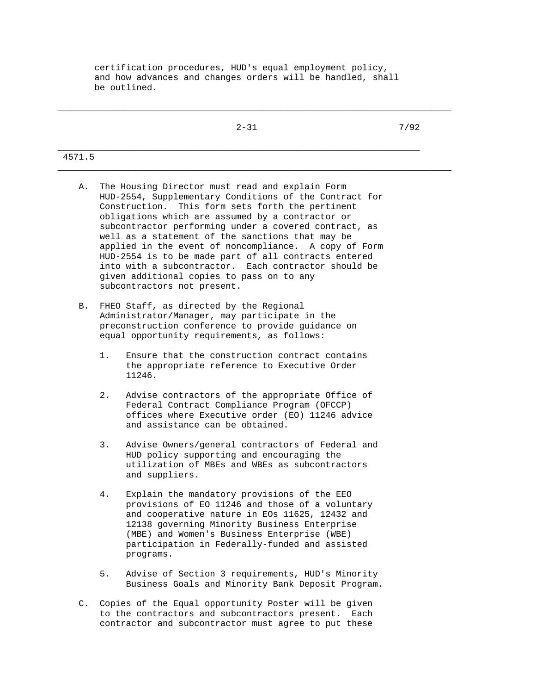certification procedures, HUD's equal employment policy, and how advances and changes orders will be handled, shall be outlined.

|        | $2 - 31$ | 7/92 |
|--------|----------|------|
| 4571.5 |          |      |

\_\_\_\_\_\_\_\_\_\_\_\_\_\_\_\_\_\_\_\_\_\_\_\_\_\_\_\_\_\_\_\_\_\_\_\_\_\_\_\_\_\_\_\_\_\_\_\_\_\_\_\_\_\_\_\_\_\_\_\_\_\_\_\_\_\_\_\_\_\_\_\_\_\_\_

- A. The Housing Director must read and explain Form HUD-2554, Supplementary Conditions of the Contract for Construction. This form sets forth the pertinent obligations which are assumed by a contractor or subcontractor performing under a covered contract, as well as a statement of the sanctions that may be applied in the event of noncompliance. A copy of Form HUD-2554 is to be made part of all contracts entered into with a subcontractor. Each contractor should be given additional copies to pass on to any subcontractors not present.
- B. FHEO Staff, as directed by the Regional Administrator/Manager, may participate in the preconstruction conference to provide guidance on equal opportunity requirements, as follows:
	- 1. Ensure that the construction contract contains the appropriate reference to Executive Order 11246.
	- 2. Advise contractors of the appropriate Office of Federal Contract Compliance Program (OFCCP) offices where Executive order (EO) 11246 advice and assistance can be obtained.
	- 3. Advise Owners/general contractors of Federal and HUD policy supporting and encouraging the utilization of MBEs and WBEs as subcontractors and suppliers.
	- 4. Explain the mandatory provisions of the EEO provisions of EO 11246 and those of a voluntary and cooperative nature in EOs 11625, 12432 and 12138 governing Minority Business Enterprise (MBE) and Women's Business Enterprise (WBE) participation in Federally-funded and assisted programs.
	- 5. Advise of Section 3 requirements, HUD's Minority Business Goals and Minority Bank Deposit Program.
- C. Copies of the Equal opportunity Poster will be given to the contractors and subcontractors present. Each contractor and subcontractor must agree to put these